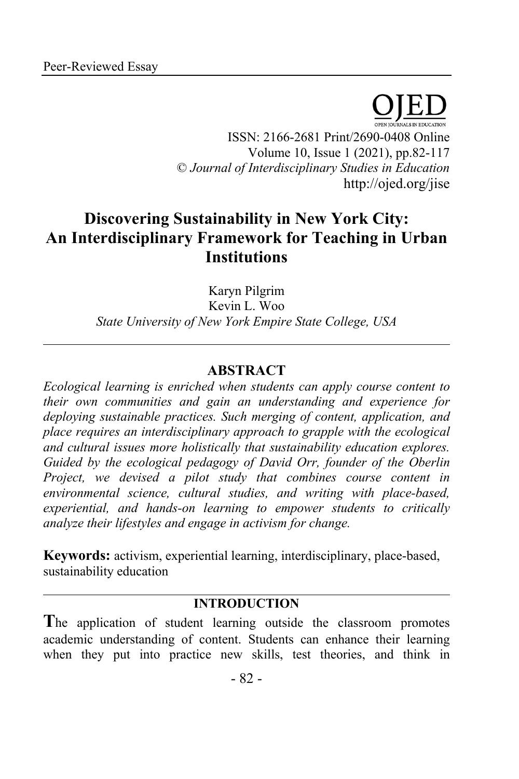ISSN: 2166-2681 Print/2690-0408 Online Volume 10, Issue 1 (2021), pp.82-117 © *Journal of Interdisciplinary Studies in Education* http://ojed.org/jise

# **Discovering Sustainability in New York City: An Interdisciplinary Framework for Teaching in Urban Institutions**

Karyn Pilgrim Kevin L. Woo *State University of New York Empire State College, USA*

# **ABSTRACT**

*Ecological learning is enriched when students can apply course content to their own communities and gain an understanding and experience for deploying sustainable practices. Such merging of content, application, and place requires an interdisciplinary approach to grapple with the ecological and cultural issues more holistically that sustainability education explores. Guided by the ecological pedagogy of David Orr, founder of the Oberlin Project, we devised a pilot study that combines course content in environmental science, cultural studies, and writing with place-based, experiential, and hands-on learning to empower students to critically analyze their lifestyles and engage in activism for change.*

**Keywords:** activism, experiential learning, interdisciplinary, place-based, sustainability education

# **INTRODUCTION**

**T**he application of student learning outside the classroom promotes academic understanding of content. Students can enhance their learning when they put into practice new skills, test theories, and think in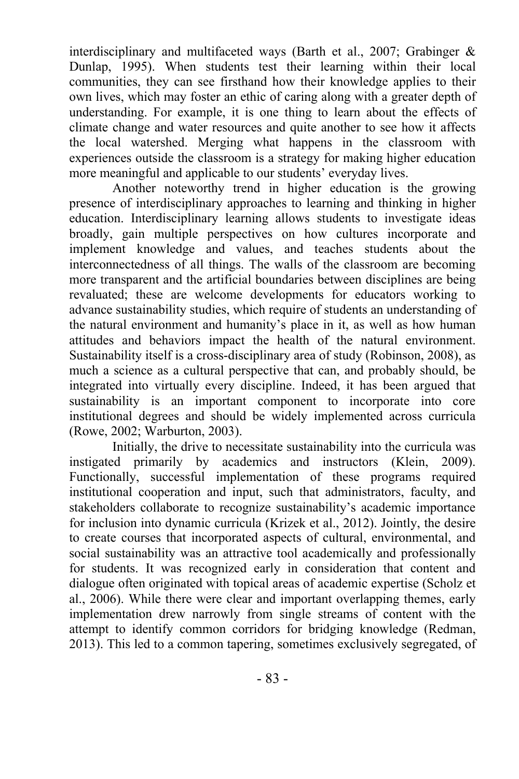interdisciplinary and multifaceted ways (Barth et al., 2007; Grabinger & Dunlap, 1995). When students test their learning within their local communities, they can see firsthand how their knowledge applies to their own lives, which may foster an ethic of caring along with a greater depth of understanding. For example, it is one thing to learn about the effects of climate change and water resources and quite another to see how it affects the local watershed. Merging what happens in the classroom with experiences outside the classroom is a strategy for making higher education more meaningful and applicable to our students' everyday lives.

Another noteworthy trend in higher education is the growing presence of interdisciplinary approaches to learning and thinking in higher education. Interdisciplinary learning allows students to investigate ideas broadly, gain multiple perspectives on how cultures incorporate and implement knowledge and values, and teaches students about the interconnectedness of all things. The walls of the classroom are becoming more transparent and the artificial boundaries between disciplines are being revaluated; these are welcome developments for educators working to advance sustainability studies, which require of students an understanding of the natural environment and humanity's place in it, as well as how human attitudes and behaviors impact the health of the natural environment. Sustainability itself is a cross-disciplinary area of study (Robinson, 2008), as much a science as a cultural perspective that can, and probably should, be integrated into virtually every discipline. Indeed, it has been argued that sustainability is an important component to incorporate into core institutional degrees and should be widely implemented across curricula (Rowe, 2002; Warburton, 2003).

Initially, the drive to necessitate sustainability into the curricula was instigated primarily by academics and instructors (Klein, 2009). Functionally, successful implementation of these programs required institutional cooperation and input, such that administrators, faculty, and stakeholders collaborate to recognize sustainability's academic importance for inclusion into dynamic curricula (Krizek et al., 2012). Jointly, the desire to create courses that incorporated aspects of cultural, environmental, and social sustainability was an attractive tool academically and professionally for students. It was recognized early in consideration that content and dialogue often originated with topical areas of academic expertise (Scholz et al., 2006). While there were clear and important overlapping themes, early implementation drew narrowly from single streams of content with the attempt to identify common corridors for bridging knowledge (Redman, 2013). This led to a common tapering, sometimes exclusively segregated, of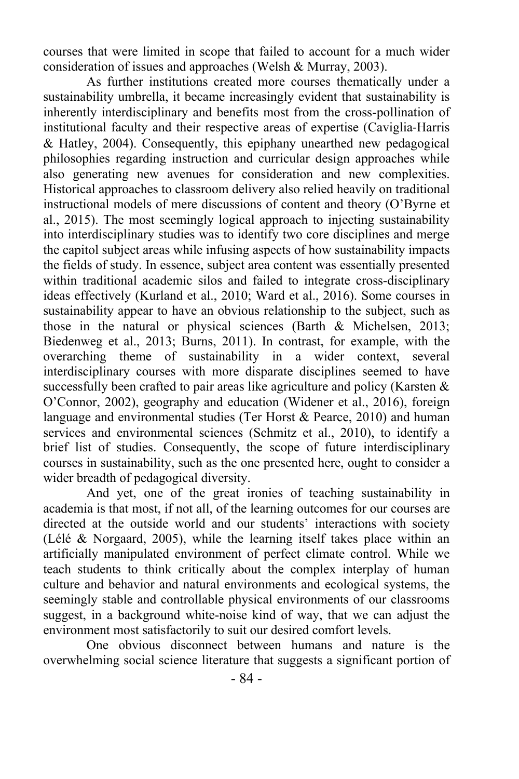courses that were limited in scope that failed to account for a much wider consideration of issues and approaches (Welsh & Murray, 2003).

As further institutions created more courses thematically under a sustainability umbrella, it became increasingly evident that sustainability is inherently interdisciplinary and benefits most from the cross-pollination of institutional faculty and their respective areas of expertise (Caviglia-Harris & Hatley, 2004). Consequently, this epiphany unearthed new pedagogical philosophies regarding instruction and curricular design approaches while also generating new avenues for consideration and new complexities. Historical approaches to classroom delivery also relied heavily on traditional instructional models of mere discussions of content and theory (O'Byrne et al., 2015). The most seemingly logical approach to injecting sustainability into interdisciplinary studies was to identify two core disciplines and merge the capitol subject areas while infusing aspects of how sustainability impacts the fields of study. In essence, subject area content was essentially presented within traditional academic silos and failed to integrate cross-disciplinary ideas effectively (Kurland et al., 2010; Ward et al., 2016). Some courses in sustainability appear to have an obvious relationship to the subject, such as those in the natural or physical sciences (Barth & Michelsen, 2013; Biedenweg et al., 2013; Burns, 2011). In contrast, for example, with the overarching theme of sustainability in a wider context, several interdisciplinary courses with more disparate disciplines seemed to have successfully been crafted to pair areas like agriculture and policy (Karsten & O'Connor, 2002), geography and education (Widener et al., 2016), foreign language and environmental studies (Ter Horst & Pearce, 2010) and human services and environmental sciences (Schmitz et al., 2010), to identify a brief list of studies. Consequently, the scope of future interdisciplinary courses in sustainability, such as the one presented here, ought to consider a wider breadth of pedagogical diversity.

And yet, one of the great ironies of teaching sustainability in academia is that most, if not all, of the learning outcomes for our courses are directed at the outside world and our students' interactions with society (Lélé & Norgaard, 2005), while the learning itself takes place within an artificially manipulated environment of perfect climate control. While we teach students to think critically about the complex interplay of human culture and behavior and natural environments and ecological systems, the seemingly stable and controllable physical environments of our classrooms suggest, in a background white-noise kind of way, that we can adjust the environment most satisfactorily to suit our desired comfort levels.

One obvious disconnect between humans and nature is the overwhelming social science literature that suggests a significant portion of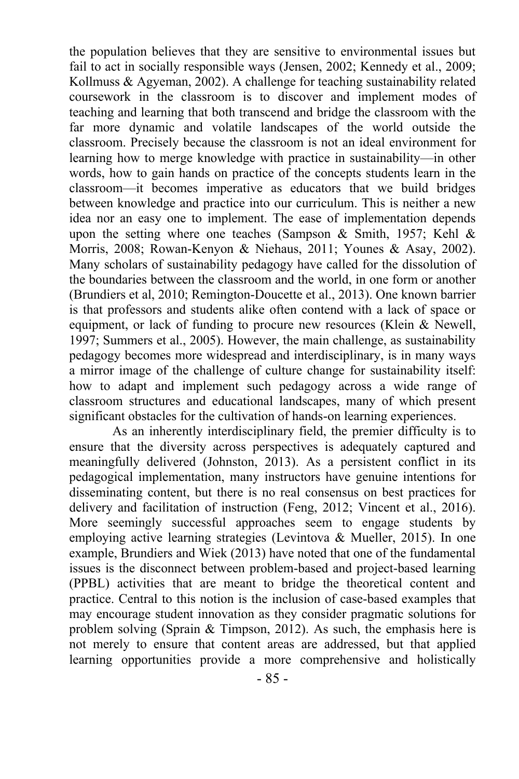the population believes that they are sensitive to environmental issues but fail to act in socially responsible ways (Jensen, 2002; Kennedy et al., 2009; Kollmuss & Agyeman, 2002). A challenge for teaching sustainability related coursework in the classroom is to discover and implement modes of teaching and learning that both transcend and bridge the classroom with the far more dynamic and volatile landscapes of the world outside the classroom. Precisely because the classroom is not an ideal environment for learning how to merge knowledge with practice in sustainability—in other words, how to gain hands on practice of the concepts students learn in the classroom—it becomes imperative as educators that we build bridges between knowledge and practice into our curriculum. This is neither a new idea nor an easy one to implement. The ease of implementation depends upon the setting where one teaches (Sampson & Smith, 1957; Kehl & Morris, 2008; Rowan-Kenyon & Niehaus, 2011; Younes & Asay, 2002). Many scholars of sustainability pedagogy have called for the dissolution of the boundaries between the classroom and the world, in one form or another (Brundiers et al, 2010; Remington-Doucette et al., 2013). One known barrier is that professors and students alike often contend with a lack of space or equipment, or lack of funding to procure new resources (Klein & Newell, 1997; Summers et al., 2005). However, the main challenge, as sustainability pedagogy becomes more widespread and interdisciplinary, is in many ways a mirror image of the challenge of culture change for sustainability itself: how to adapt and implement such pedagogy across a wide range of classroom structures and educational landscapes, many of which present significant obstacles for the cultivation of hands-on learning experiences.

As an inherently interdisciplinary field, the premier difficulty is to ensure that the diversity across perspectives is adequately captured and meaningfully delivered (Johnston, 2013). As a persistent conflict in its pedagogical implementation, many instructors have genuine intentions for disseminating content, but there is no real consensus on best practices for delivery and facilitation of instruction (Feng, 2012; Vincent et al., 2016). More seemingly successful approaches seem to engage students by employing active learning strategies (Levintova & Mueller, 2015). In one example, Brundiers and Wiek (2013) have noted that one of the fundamental issues is the disconnect between problem-based and project-based learning (PPBL) activities that are meant to bridge the theoretical content and practice. Central to this notion is the inclusion of case-based examples that may encourage student innovation as they consider pragmatic solutions for problem solving (Sprain & Timpson, 2012). As such, the emphasis here is not merely to ensure that content areas are addressed, but that applied learning opportunities provide a more comprehensive and holistically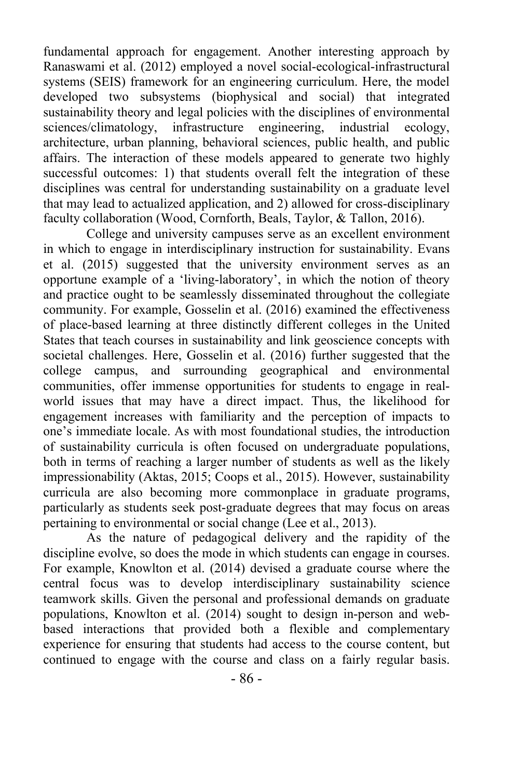fundamental approach for engagement. Another interesting approach by Ranaswami et al. (2012) employed a novel social-ecological-infrastructural systems (SEIS) framework for an engineering curriculum. Here, the model developed two subsystems (biophysical and social) that integrated sustainability theory and legal policies with the disciplines of environmental sciences/climatology, infrastructure engineering, industrial ecology, architecture, urban planning, behavioral sciences, public health, and public affairs. The interaction of these models appeared to generate two highly successful outcomes: 1) that students overall felt the integration of these disciplines was central for understanding sustainability on a graduate level that may lead to actualized application, and 2) allowed for cross-disciplinary faculty collaboration (Wood, Cornforth, Beals, Taylor, & Tallon, 2016).

College and university campuses serve as an excellent environment in which to engage in interdisciplinary instruction for sustainability. Evans et al. (2015) suggested that the university environment serves as an opportune example of a 'living-laboratory', in which the notion of theory and practice ought to be seamlessly disseminated throughout the collegiate community. For example, Gosselin et al. (2016) examined the effectiveness of place-based learning at three distinctly different colleges in the United States that teach courses in sustainability and link geoscience concepts with societal challenges. Here, Gosselin et al. (2016) further suggested that the college campus, and surrounding geographical and environmental communities, offer immense opportunities for students to engage in realworld issues that may have a direct impact. Thus, the likelihood for engagement increases with familiarity and the perception of impacts to one's immediate locale. As with most foundational studies, the introduction of sustainability curricula is often focused on undergraduate populations, both in terms of reaching a larger number of students as well as the likely impressionability (Aktas, 2015; Coops et al., 2015). However, sustainability curricula are also becoming more commonplace in graduate programs, particularly as students seek post-graduate degrees that may focus on areas pertaining to environmental or social change (Lee et al., 2013).

As the nature of pedagogical delivery and the rapidity of the discipline evolve, so does the mode in which students can engage in courses. For example, Knowlton et al. (2014) devised a graduate course where the central focus was to develop interdisciplinary sustainability science teamwork skills. Given the personal and professional demands on graduate populations, Knowlton et al. (2014) sought to design in-person and webbased interactions that provided both a flexible and complementary experience for ensuring that students had access to the course content, but continued to engage with the course and class on a fairly regular basis.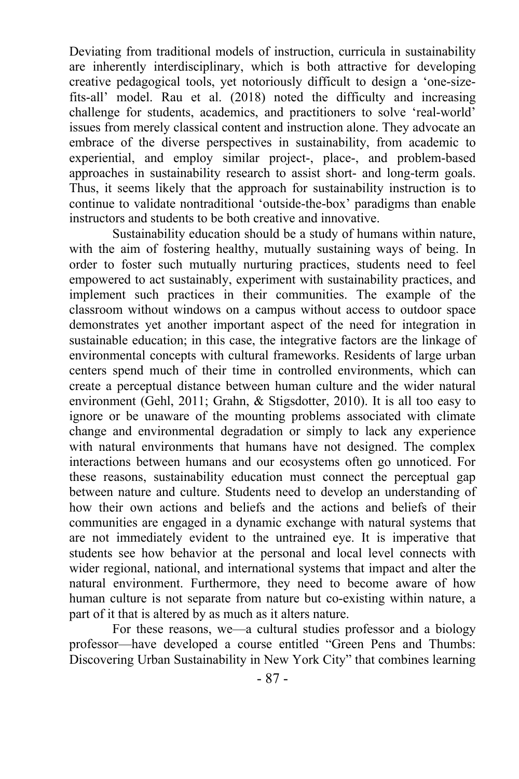Deviating from traditional models of instruction, curricula in sustainability are inherently interdisciplinary, which is both attractive for developing creative pedagogical tools, yet notoriously difficult to design a 'one-sizefits-all' model. Rau et al. (2018) noted the difficulty and increasing challenge for students, academics, and practitioners to solve 'real-world' issues from merely classical content and instruction alone. They advocate an embrace of the diverse perspectives in sustainability, from academic to experiential, and employ similar project-, place-, and problem-based approaches in sustainability research to assist short- and long-term goals. Thus, it seems likely that the approach for sustainability instruction is to continue to validate nontraditional 'outside-the-box' paradigms than enable instructors and students to be both creative and innovative.

Sustainability education should be a study of humans within nature, with the aim of fostering healthy, mutually sustaining ways of being. In order to foster such mutually nurturing practices, students need to feel empowered to act sustainably, experiment with sustainability practices, and implement such practices in their communities. The example of the classroom without windows on a campus without access to outdoor space demonstrates yet another important aspect of the need for integration in sustainable education; in this case, the integrative factors are the linkage of environmental concepts with cultural frameworks. Residents of large urban centers spend much of their time in controlled environments, which can create a perceptual distance between human culture and the wider natural environment (Gehl, 2011; Grahn, & Stigsdotter, 2010). It is all too easy to ignore or be unaware of the mounting problems associated with climate change and environmental degradation or simply to lack any experience with natural environments that humans have not designed. The complex interactions between humans and our ecosystems often go unnoticed. For these reasons, sustainability education must connect the perceptual gap between nature and culture. Students need to develop an understanding of how their own actions and beliefs and the actions and beliefs of their communities are engaged in a dynamic exchange with natural systems that are not immediately evident to the untrained eye. It is imperative that students see how behavior at the personal and local level connects with wider regional, national, and international systems that impact and alter the natural environment. Furthermore, they need to become aware of how human culture is not separate from nature but co-existing within nature, a part of it that is altered by as much as it alters nature.

For these reasons, we—a cultural studies professor and a biology professor—have developed a course entitled "Green Pens and Thumbs: Discovering Urban Sustainability in New York City" that combines learning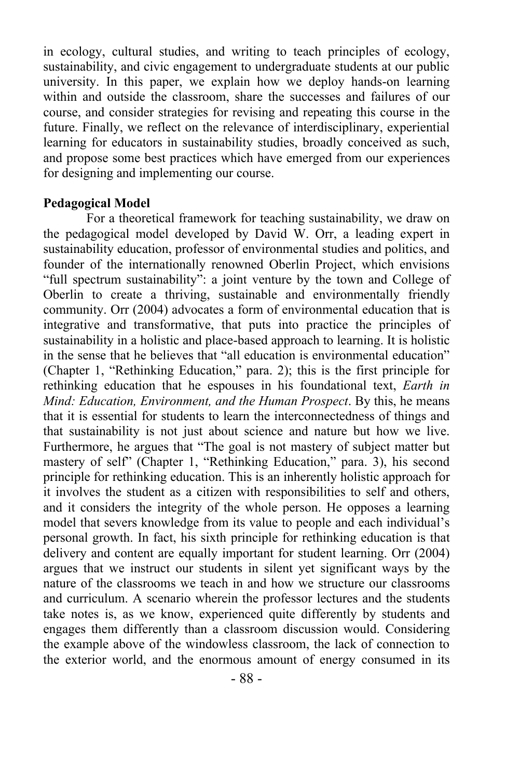in ecology, cultural studies, and writing to teach principles of ecology, sustainability, and civic engagement to undergraduate students at our public university. In this paper, we explain how we deploy hands-on learning within and outside the classroom, share the successes and failures of our course, and consider strategies for revising and repeating this course in the future. Finally, we reflect on the relevance of interdisciplinary, experiential learning for educators in sustainability studies, broadly conceived as such, and propose some best practices which have emerged from our experiences for designing and implementing our course.

#### **Pedagogical Model**

For a theoretical framework for teaching sustainability, we draw on the pedagogical model developed by David W. Orr, a leading expert in sustainability education, professor of environmental studies and politics, and founder of the internationally renowned Oberlin Project, which envisions "full spectrum sustainability": a joint venture by the town and College of Oberlin to create a thriving, sustainable and environmentally friendly community. Orr (2004) advocates a form of environmental education that is integrative and transformative, that puts into practice the principles of sustainability in a holistic and place-based approach to learning. It is holistic in the sense that he believes that "all education is environmental education" (Chapter 1, "Rethinking Education," para. 2); this is the first principle for rethinking education that he espouses in his foundational text, *Earth in Mind: Education, Environment, and the Human Prospect*. By this, he means that it is essential for students to learn the interconnectedness of things and that sustainability is not just about science and nature but how we live. Furthermore, he argues that "The goal is not mastery of subject matter but mastery of self" (Chapter 1, "Rethinking Education," para. 3), his second principle for rethinking education. This is an inherently holistic approach for it involves the student as a citizen with responsibilities to self and others, and it considers the integrity of the whole person. He opposes a learning model that severs knowledge from its value to people and each individual's personal growth. In fact, his sixth principle for rethinking education is that delivery and content are equally important for student learning. Orr (2004) argues that we instruct our students in silent yet significant ways by the nature of the classrooms we teach in and how we structure our classrooms and curriculum. A scenario wherein the professor lectures and the students take notes is, as we know, experienced quite differently by students and engages them differently than a classroom discussion would. Considering the example above of the windowless classroom, the lack of connection to the exterior world, and the enormous amount of energy consumed in its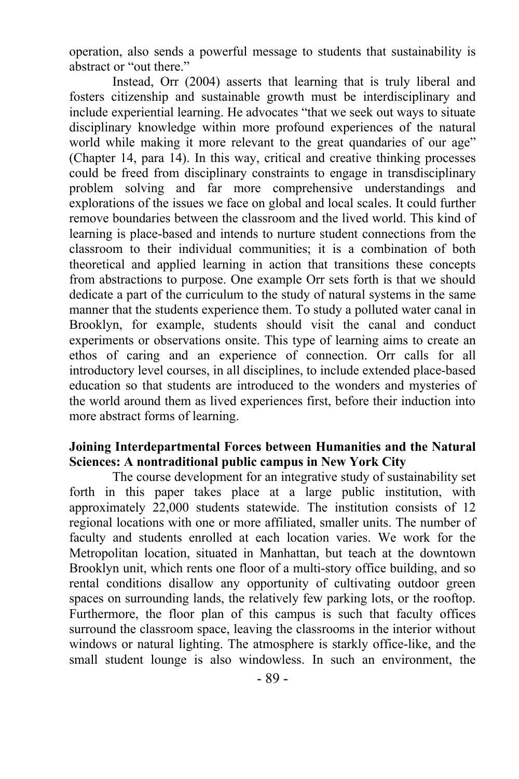operation, also sends a powerful message to students that sustainability is abstract or "out there."

Instead, Orr (2004) asserts that learning that is truly liberal and fosters citizenship and sustainable growth must be interdisciplinary and include experiential learning. He advocates "that we seek out ways to situate disciplinary knowledge within more profound experiences of the natural world while making it more relevant to the great quandaries of our age" (Chapter 14, para 14). In this way, critical and creative thinking processes could be freed from disciplinary constraints to engage in transdisciplinary problem solving and far more comprehensive understandings and explorations of the issues we face on global and local scales. It could further remove boundaries between the classroom and the lived world. This kind of learning is place-based and intends to nurture student connections from the classroom to their individual communities; it is a combination of both theoretical and applied learning in action that transitions these concepts from abstractions to purpose. One example Orr sets forth is that we should dedicate a part of the curriculum to the study of natural systems in the same manner that the students experience them. To study a polluted water canal in Brooklyn, for example, students should visit the canal and conduct experiments or observations onsite. This type of learning aims to create an ethos of caring and an experience of connection. Orr calls for all introductory level courses, in all disciplines, to include extended place-based education so that students are introduced to the wonders and mysteries of the world around them as lived experiences first, before their induction into more abstract forms of learning.

#### **Joining Interdepartmental Forces between Humanities and the Natural Sciences: A nontraditional public campus in New York City**

The course development for an integrative study of sustainability set forth in this paper takes place at a large public institution, with approximately 22,000 students statewide. The institution consists of 12 regional locations with one or more affiliated, smaller units. The number of faculty and students enrolled at each location varies. We work for the Metropolitan location, situated in Manhattan, but teach at the downtown Brooklyn unit, which rents one floor of a multi-story office building, and so rental conditions disallow any opportunity of cultivating outdoor green spaces on surrounding lands, the relatively few parking lots, or the rooftop. Furthermore, the floor plan of this campus is such that faculty offices surround the classroom space, leaving the classrooms in the interior without windows or natural lighting. The atmosphere is starkly office-like, and the small student lounge is also windowless. In such an environment, the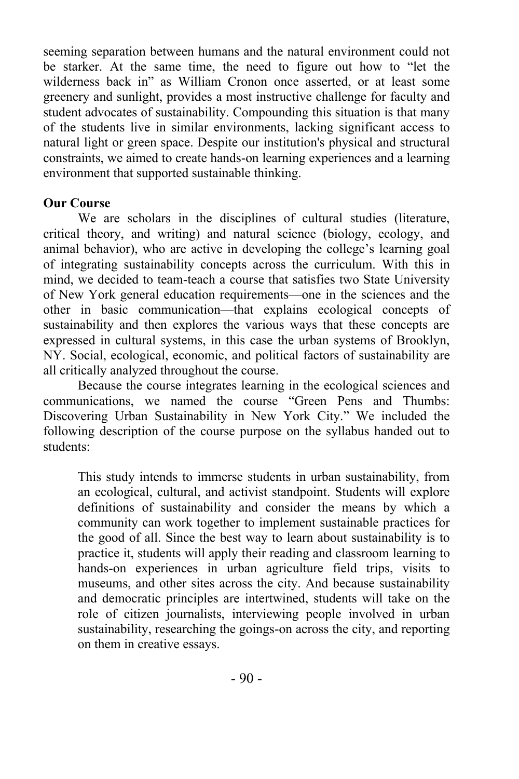seeming separation between humans and the natural environment could not be starker. At the same time, the need to figure out how to "let the wilderness back in" as William Cronon once asserted, or at least some greenery and sunlight, provides a most instructive challenge for faculty and student advocates of sustainability. Compounding this situation is that many of the students live in similar environments, lacking significant access to natural light or green space. Despite our institution's physical and structural constraints, we aimed to create hands-on learning experiences and a learning environment that supported sustainable thinking.

#### **Our Course**

We are scholars in the disciplines of cultural studies (literature, critical theory, and writing) and natural science (biology, ecology, and animal behavior), who are active in developing the college's learning goal of integrating sustainability concepts across the curriculum. With this in mind, we decided to team-teach a course that satisfies two State University of New York general education requirements—one in the sciences and the other in basic communication—that explains ecological concepts of sustainability and then explores the various ways that these concepts are expressed in cultural systems, in this case the urban systems of Brooklyn, NY. Social, ecological, economic, and political factors of sustainability are all critically analyzed throughout the course.

Because the course integrates learning in the ecological sciences and communications, we named the course "Green Pens and Thumbs: Discovering Urban Sustainability in New York City." We included the following description of the course purpose on the syllabus handed out to students:

This study intends to immerse students in urban sustainability, from an ecological, cultural, and activist standpoint. Students will explore definitions of sustainability and consider the means by which a community can work together to implement sustainable practices for the good of all. Since the best way to learn about sustainability is to practice it, students will apply their reading and classroom learning to hands-on experiences in urban agriculture field trips, visits to museums, and other sites across the city. And because sustainability and democratic principles are intertwined, students will take on the role of citizen journalists, interviewing people involved in urban sustainability, researching the goings-on across the city, and reporting on them in creative essays.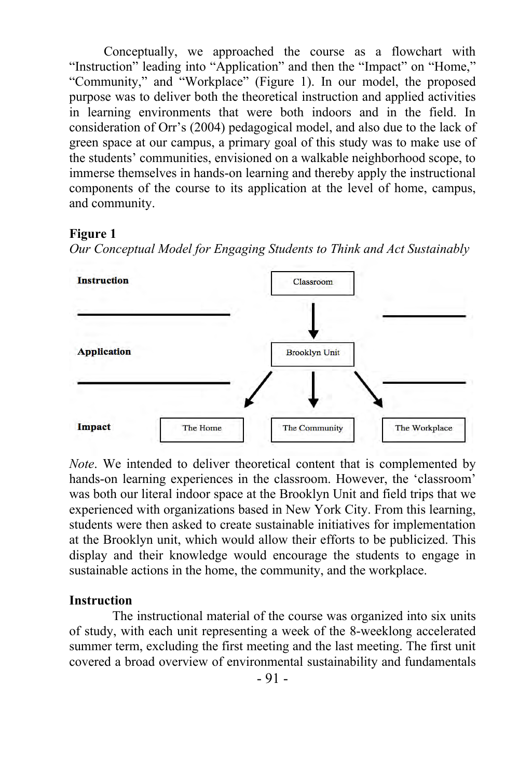Conceptually, we approached the course as a flowchart with "Instruction" leading into "Application" and then the "Impact" on "Home," "Community," and "Workplace" (Figure 1). In our model, the proposed purpose was to deliver both the theoretical instruction and applied activities in learning environments that were both indoors and in the field. In consideration of Orr's (2004) pedagogical model, and also due to the lack of green space at our campus, a primary goal of this study was to make use of the students' communities, envisioned on a walkable neighborhood scope, to immerse themselves in hands-on learning and thereby apply the instructional components of the course to its application at the level of home, campus, and community.

#### **Figure 1**

*Our Conceptual Model for Engaging Students to Think and Act Sustainably*



*Note*. We intended to deliver theoretical content that is complemented by hands-on learning experiences in the classroom. However, the 'classroom' was both our literal indoor space at the Brooklyn Unit and field trips that we experienced with organizations based in New York City. From this learning, students were then asked to create sustainable initiatives for implementation at the Brooklyn unit, which would allow their efforts to be publicized. This display and their knowledge would encourage the students to engage in sustainable actions in the home, the community, and the workplace.

#### **Instruction**

The instructional material of the course was organized into six units of study, with each unit representing a week of the 8-weeklong accelerated summer term, excluding the first meeting and the last meeting. The first unit covered a broad overview of environmental sustainability and fundamentals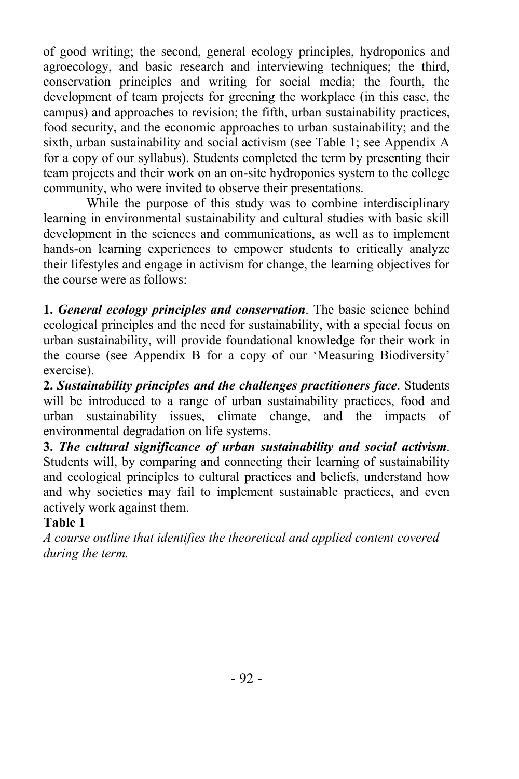of good writing; the second, general ecology principles, hydroponics and agroecology, and basic research and interviewing techniques; the third, conservation principles and writing for social media; the fourth, the development of team projects for greening the workplace (in this case, the campus) and approaches to revision; the fifth, urban sustainability practices, food security, and the economic approaches to urban sustainability; and the sixth, urban sustainability and social activism (see Table 1; see Appendix A for a copy of our syllabus). Students completed the term by presenting their team projects and their work on an on-site hydroponics system to the college community, who were invited to observe their presentations.

While the purpose of this study was to combine interdisciplinary learning in environmental sustainability and cultural studies with basic skill development in the sciences and communications, as well as to implement hands-on learning experiences to empower students to critically analyze their lifestyles and engage in activism for change, the learning objectives for the course were as follows:

**1.** *General ecology principles and conservation*. The basic science behind ecological principles and the need for sustainability, with a special focus on urban sustainability, will provide foundational knowledge for their work in the course (see Appendix B for a copy of our 'Measuring Biodiversity' exercise).

**2.** *Sustainability principles and the challenges practitioners face*. Students will be introduced to a range of urban sustainability practices, food and urban sustainability issues, climate change, and the impacts of environmental degradation on life systems.

**3.** *The cultural significance of urban sustainability and social activism*. Students will, by comparing and connecting their learning of sustainability and ecological principles to cultural practices and beliefs, understand how and why societies may fail to implement sustainable practices, and even actively work against them.

#### **Table 1**

*A course outline that identifies the theoretical and applied content covered during the term.*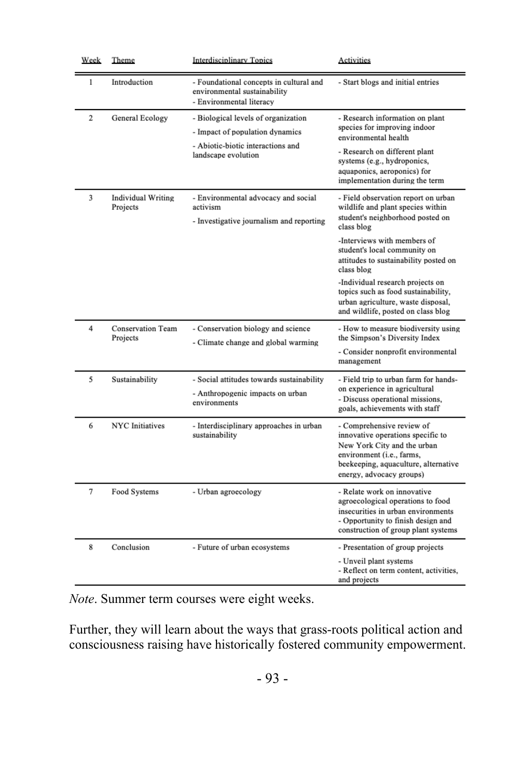| Week           | Theme                                 | <b>Interdisciplinary Topics</b>                                                                                                    | Activities                                                                                                                                                                                                               |  |
|----------------|---------------------------------------|------------------------------------------------------------------------------------------------------------------------------------|--------------------------------------------------------------------------------------------------------------------------------------------------------------------------------------------------------------------------|--|
| 1              | Introduction                          | - Foundational concepts in cultural and<br>environmental sustainability<br>- Environmental literacy                                | - Start blogs and initial entries                                                                                                                                                                                        |  |
| $\overline{2}$ | General Ecology                       | - Biological levels of organization<br>- Impact of population dynamics<br>- Abiotic-biotic interactions and<br>landscape evolution | - Research information on plant<br>species for improving indoor<br>environmental health<br>- Research on different plant<br>systems (e.g., hydroponics,<br>aquaponics, aeroponics) for<br>implementation during the term |  |
| 3              | <b>Individual Writing</b><br>Projects | - Environmental advocacy and social<br>activism<br>- Investigative journalism and reporting                                        | - Field observation report on urban<br>wildlife and plant species within<br>student's neighborhood posted on<br>class blog                                                                                               |  |
|                |                                       |                                                                                                                                    | -Interviews with members of<br>student's local community on<br>attitudes to sustainability posted on<br>class blog                                                                                                       |  |
|                |                                       |                                                                                                                                    | -Individual research projects on<br>topics such as food sustainability,<br>urban agriculture, waste disposal,<br>and wildlife, posted on class blog                                                                      |  |
| 4              | <b>Conservation Team</b><br>Projects  | - Conservation biology and science<br>- Climate change and global warming                                                          | - How to measure biodiversity using<br>the Simpson's Diversity Index<br>- Consider nonprofit environmental<br>management                                                                                                 |  |
| 5              | Sustainability                        | - Social attitudes towards sustainability<br>- Anthropogenic impacts on urban<br>environments                                      | - Field trip to urban farm for hands-<br>on experience in agricultural<br>- Discuss operational missions,<br>goals, achievements with staff                                                                              |  |
| 6              | <b>NYC</b> Initiatives                | - Interdisciplinary approaches in urban<br>sustainability                                                                          | - Comprehensive review of<br>innovative operations specific to<br>New York City and the urban<br>environment (i.e., farms,<br>beekeeping, aquaculture, alternative<br>energy, advocacy groups)                           |  |
| 7              | Food Systems                          | - Urban agroecology                                                                                                                | - Relate work on innovative<br>agroecological operations to food<br>insecurities in urban environments<br>- Opportunity to finish design and<br>construction of group plant systems                                      |  |
| 8              | Conclusion                            | - Future of urban ecosystems                                                                                                       | - Presentation of group projects<br>- Unveil plant systems<br>- Reflect on term content, activities,<br>and projects                                                                                                     |  |

*Note*. Summer term courses were eight weeks.

Further, they will learn about the ways that grass-roots political action and consciousness raising have historically fostered community empowerment.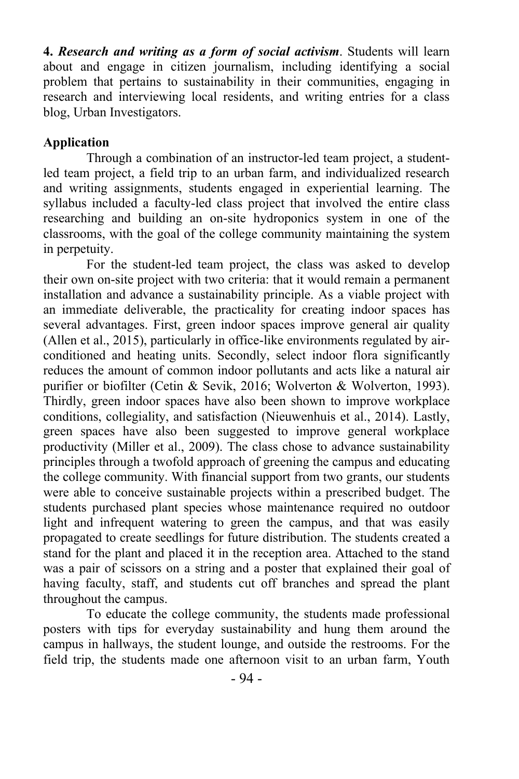**4.** *Research and writing as a form of social activism*. Students will learn about and engage in citizen journalism, including identifying a social problem that pertains to sustainability in their communities, engaging in research and interviewing local residents, and writing entries for a class blog, Urban Investigators.

#### **Application**

Through a combination of an instructor-led team project, a studentled team project, a field trip to an urban farm, and individualized research and writing assignments, students engaged in experiential learning. The syllabus included a faculty-led class project that involved the entire class researching and building an on-site hydroponics system in one of the classrooms, with the goal of the college community maintaining the system in perpetuity.

For the student-led team project, the class was asked to develop their own on-site project with two criteria: that it would remain a permanent installation and advance a sustainability principle. As a viable project with an immediate deliverable, the practicality for creating indoor spaces has several advantages. First, green indoor spaces improve general air quality (Allen et al., 2015), particularly in office-like environments regulated by airconditioned and heating units. Secondly, select indoor flora significantly reduces the amount of common indoor pollutants and acts like a natural air purifier or biofilter (Cetin & Sevik, 2016; Wolverton & Wolverton, 1993). Thirdly, green indoor spaces have also been shown to improve workplace conditions, collegiality, and satisfaction (Nieuwenhuis et al., 2014). Lastly, green spaces have also been suggested to improve general workplace productivity (Miller et al., 2009). The class chose to advance sustainability principles through a twofold approach of greening the campus and educating the college community. With financial support from two grants, our students were able to conceive sustainable projects within a prescribed budget. The students purchased plant species whose maintenance required no outdoor light and infrequent watering to green the campus, and that was easily propagated to create seedlings for future distribution. The students created a stand for the plant and placed it in the reception area. Attached to the stand was a pair of scissors on a string and a poster that explained their goal of having faculty, staff, and students cut off branches and spread the plant throughout the campus.

To educate the college community, the students made professional posters with tips for everyday sustainability and hung them around the campus in hallways, the student lounge, and outside the restrooms. For the field trip, the students made one afternoon visit to an urban farm, Youth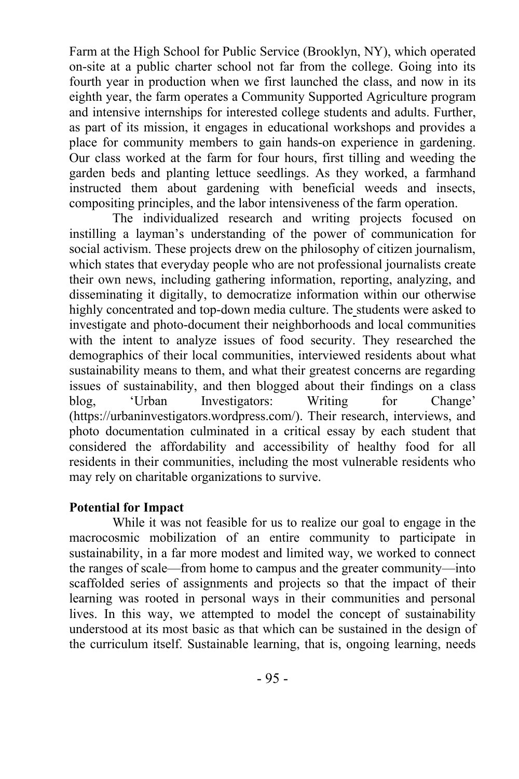Farm at the High School for Public Service (Brooklyn, NY), which operated on-site at a public charter school not far from the college. Going into its fourth year in production when we first launched the class, and now in its eighth year, the farm operates a Community Supported Agriculture program and intensive internships for interested college students and adults. Further, as part of its mission, it engages in educational workshops and provides a place for community members to gain hands-on experience in gardening. Our class worked at the farm for four hours, first tilling and weeding the garden beds and planting lettuce seedlings. As they worked, a farmhand instructed them about gardening with beneficial weeds and insects, compositing principles, and the labor intensiveness of the farm operation.

The individualized research and writing projects focused on instilling a layman's understanding of the power of communication for social activism. These projects drew on the philosophy of citizen journalism, which states that everyday people who are not professional journalists create their own news, including gathering information, reporting, analyzing, and disseminating it digitally, to democratize information within our otherwise highly concentrated and top-down media culture. The students were asked to investigate and photo-document their neighborhoods and local communities with the intent to analyze issues of food security. They researched the demographics of their local communities, interviewed residents about what sustainability means to them, and what their greatest concerns are regarding issues of sustainability, and then blogged about their findings on a class blog, 'Urban Investigators: Writing for Change' (https://urbaninvestigators.wordpress.com/). Their research, interviews, and photo documentation culminated in a critical essay by each student that considered the affordability and accessibility of healthy food for all residents in their communities, including the most vulnerable residents who may rely on charitable organizations to survive.

#### **Potential for Impact**

While it was not feasible for us to realize our goal to engage in the macrocosmic mobilization of an entire community to participate in sustainability, in a far more modest and limited way, we worked to connect the ranges of scale—from home to campus and the greater community—into scaffolded series of assignments and projects so that the impact of their learning was rooted in personal ways in their communities and personal lives. In this way, we attempted to model the concept of sustainability understood at its most basic as that which can be sustained in the design of the curriculum itself. Sustainable learning, that is, ongoing learning, needs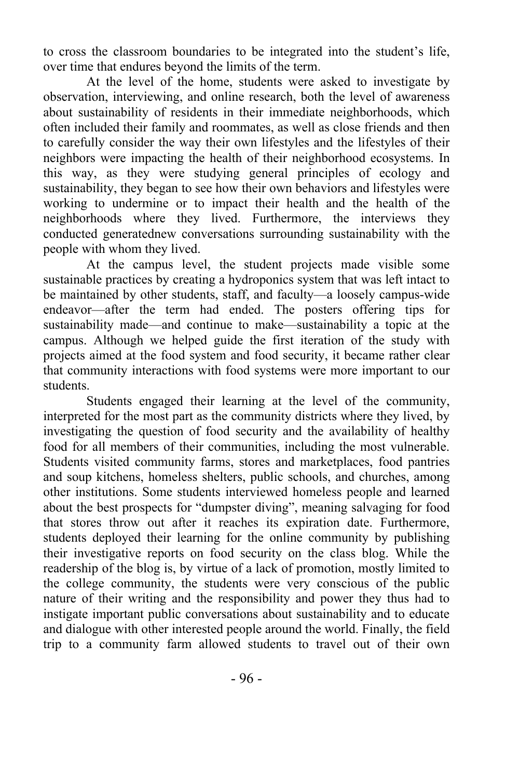to cross the classroom boundaries to be integrated into the student's life, over time that endures beyond the limits of the term.

At the level of the home, students were asked to investigate by observation, interviewing, and online research, both the level of awareness about sustainability of residents in their immediate neighborhoods, which often included their family and roommates, as well as close friends and then to carefully consider the way their own lifestyles and the lifestyles of their neighbors were impacting the health of their neighborhood ecosystems. In this way, as they were studying general principles of ecology and sustainability, they began to see how their own behaviors and lifestyles were working to undermine or to impact their health and the health of the neighborhoods where they lived. Furthermore, the interviews they conducted generatednew conversations surrounding sustainability with the people with whom they lived.

At the campus level, the student projects made visible some sustainable practices by creating a hydroponics system that was left intact to be maintained by other students, staff, and faculty—a loosely campus-wide endeavor—after the term had ended. The posters offering tips for sustainability made—and continue to make—sustainability a topic at the campus. Although we helped guide the first iteration of the study with projects aimed at the food system and food security, it became rather clear that community interactions with food systems were more important to our students.

Students engaged their learning at the level of the community, interpreted for the most part as the community districts where they lived, by investigating the question of food security and the availability of healthy food for all members of their communities, including the most vulnerable. Students visited community farms, stores and marketplaces, food pantries and soup kitchens, homeless shelters, public schools, and churches, among other institutions. Some students interviewed homeless people and learned about the best prospects for "dumpster diving", meaning salvaging for food that stores throw out after it reaches its expiration date. Furthermore, students deployed their learning for the online community by publishing their investigative reports on food security on the class blog. While the readership of the blog is, by virtue of a lack of promotion, mostly limited to the college community, the students were very conscious of the public nature of their writing and the responsibility and power they thus had to instigate important public conversations about sustainability and to educate and dialogue with other interested people around the world. Finally, the field trip to a community farm allowed students to travel out of their own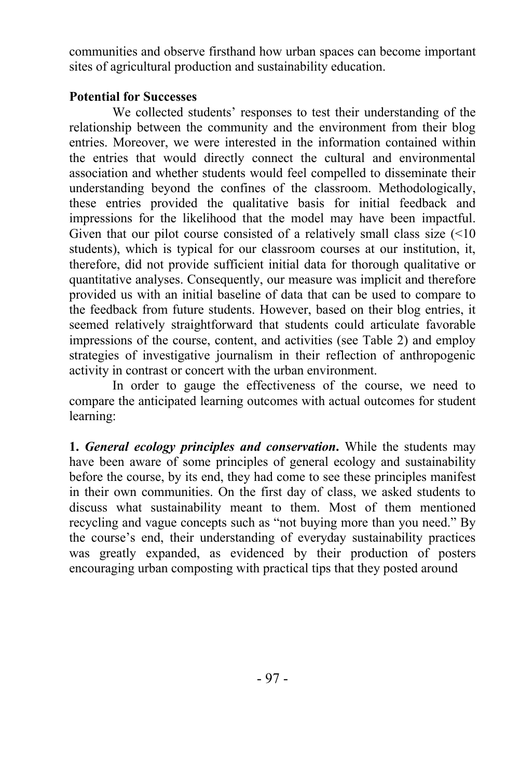communities and observe firsthand how urban spaces can become important sites of agricultural production and sustainability education.

#### **Potential for Successes**

We collected students' responses to test their understanding of the relationship between the community and the environment from their blog entries. Moreover, we were interested in the information contained within the entries that would directly connect the cultural and environmental association and whether students would feel compelled to disseminate their understanding beyond the confines of the classroom. Methodologically, these entries provided the qualitative basis for initial feedback and impressions for the likelihood that the model may have been impactful. Given that our pilot course consisted of a relatively small class size  $\left( \leq 10 \right)$ students), which is typical for our classroom courses at our institution, it, therefore, did not provide sufficient initial data for thorough qualitative or quantitative analyses. Consequently, our measure was implicit and therefore provided us with an initial baseline of data that can be used to compare to the feedback from future students. However, based on their blog entries, it seemed relatively straightforward that students could articulate favorable impressions of the course, content, and activities (see Table 2) and employ strategies of investigative journalism in their reflection of anthropogenic activity in contrast or concert with the urban environment.

In order to gauge the effectiveness of the course, we need to compare the anticipated learning outcomes with actual outcomes for student learning:

**1.** *General ecology principles and conservation***.** While the students may have been aware of some principles of general ecology and sustainability before the course, by its end, they had come to see these principles manifest in their own communities. On the first day of class, we asked students to discuss what sustainability meant to them. Most of them mentioned recycling and vague concepts such as "not buying more than you need." By the course's end, their understanding of everyday sustainability practices was greatly expanded, as evidenced by their production of posters encouraging urban composting with practical tips that they posted around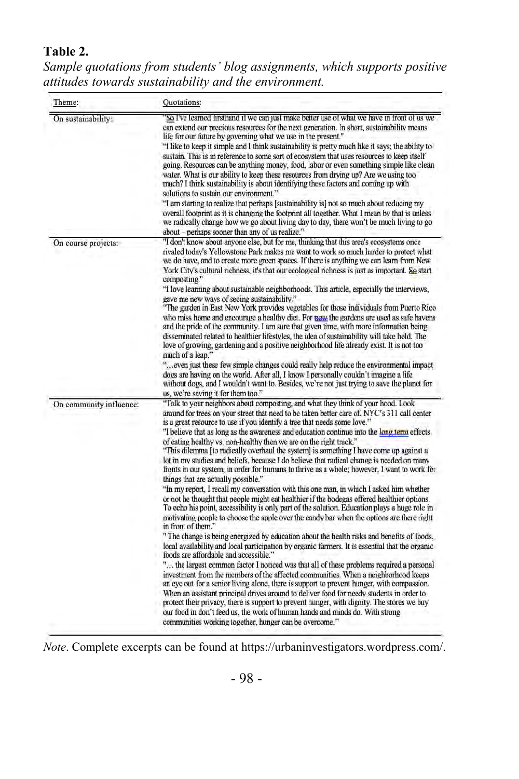# **Table 2.**

*Sample quotations from students' blog assignments, which supports positive attitudes towards sustainability and the environment.* 

| Theme:                  | Quotations:                                                                                                                                                                                                                                                                                                                                                                                                                                                                                                                                                                                                                                                                                                                                                                                                                                                                                                                                                                                                                                                                                                                                                                                                                                                                                                                                                                                                                                                                                                                                                                                                                                                                                                 |
|-------------------------|-------------------------------------------------------------------------------------------------------------------------------------------------------------------------------------------------------------------------------------------------------------------------------------------------------------------------------------------------------------------------------------------------------------------------------------------------------------------------------------------------------------------------------------------------------------------------------------------------------------------------------------------------------------------------------------------------------------------------------------------------------------------------------------------------------------------------------------------------------------------------------------------------------------------------------------------------------------------------------------------------------------------------------------------------------------------------------------------------------------------------------------------------------------------------------------------------------------------------------------------------------------------------------------------------------------------------------------------------------------------------------------------------------------------------------------------------------------------------------------------------------------------------------------------------------------------------------------------------------------------------------------------------------------------------------------------------------------|
| On sustainability:      | So I've learned firsthand if we can just make better use of what we have in front of us we<br>can extend our precious resources for the next generation. In short, sustainability means<br>life for our future by governing what we use in the present."<br>"I like to keep it simple and I think sustainability is pretty much like it says; the ability to<br>sustain. This is in reference to some sort of ecosystem that uses resources to keep itself<br>going. Resources can be anything money, food, labor or even something simple like clean<br>water. What is our ability to keep these resources from drying up? Are we using too<br>much? I think sustainability is about identifying these factors and coming up with<br>solutions to sustain our environment."<br>"I am starting to realize that perhaps [sustainability is] not so much about reducing my<br>overall footprint as it is changing the footprint all together. What I mean by that is unless<br>we radically change how we go about living day to day, there won't be much living to go                                                                                                                                                                                                                                                                                                                                                                                                                                                                                                                                                                                                                                        |
| On course projects:     | about - perhaps sooner than any of us realize."<br>"I don't know about anyone else, but for me, thinking that this area's ecosystems once<br>rivaled today's Yellowstone Park makes me want to work so much harder to protect what<br>we do have, and to create more green spaces. If there is anything we can learn from New<br>York City's cultural richness, it's that our ecological richness is just as important. So start<br>composting."<br>"I love learning about sustainable neighborhoods. This article, especially the interviews,<br>gave me new ways of seeing sustainability."<br>"The garden in East New York provides vegetables for those individuals from Puerto Rico<br>who miss home and encourage a healthy diet. For now the gardens are used as safe havens<br>and the pride of the community. I am sure that given time, with more information being<br>disseminated related to healthier lifestyles, the idea of sustainability will take hold. The<br>love of growing, gardening and a positive neighborhood life already exist. It is not too<br>much of a leap."<br>" even just these few simple changes could really help reduce the environmental impact<br>dogs are having on the world. After all, I know I personally couldn't imagine a life<br>without dogs, and I wouldn't want to. Besides, we're not just trying to save the planet for                                                                                                                                                                                                                                                                                                                              |
| On community influence: | us, we're saving it for them too."<br>"Talk to your neighbors about composting, and what they think of your hood. Look<br>around for trees on your street that need to be taken better care of. NYC's 311 call center                                                                                                                                                                                                                                                                                                                                                                                                                                                                                                                                                                                                                                                                                                                                                                                                                                                                                                                                                                                                                                                                                                                                                                                                                                                                                                                                                                                                                                                                                       |
|                         | is a great resource to use if you identify a tree that needs some love."<br>"I believe that as long as the awareness and education continue into the long term effects<br>of eating healthy vs. non-healthy then we are on the right track."<br>"This dilemma [to radically overhaul the system] is something I have come up against a<br>lot in my studies and beliefs, because I do believe that radical change is needed on many<br>fronts in our system, in order for humans to thrive as a whole; however, I want to work for<br>things that are actually possible."<br>"In my report, I recall my conversation with this one man, in which I asked him whether<br>or not he thought that people might eat healthier if the bodegas offered healthier options.<br>To echo his point, accessibility is only part of the solution. Education plays a huge role in<br>motivating people to choose the apple over the candy bar when the options are there right<br>in front of them."<br>" The change is being energized by education about the health risks and benefits of foods,<br>local availability and local participation by organic farmers. It is essential that the organic<br>foods are affordable and accessible."<br>" the largest common factor I noticed was that all of these problems required a personal<br>investment from the members of the affected communities. When a neighborhood keeps<br>an eye out for a senior living alone, there is support to prevent hunger, with compassion.<br>When an assistant principal drives around to deliver food for needy students in order to<br>protect their privacy, there is support to prevent hunger, with dignity. The stores we buy |

*Note*. Complete excerpts can be found at https://urbaninvestigators.wordpress.com/.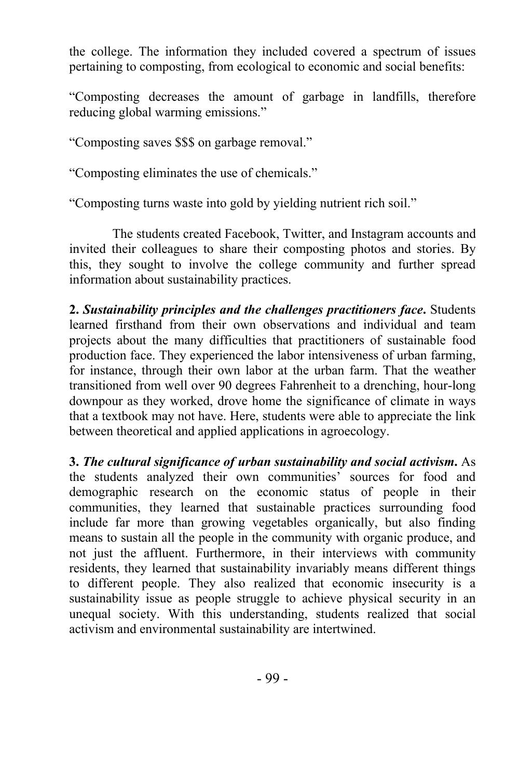the college. The information they included covered a spectrum of issues pertaining to composting, from ecological to economic and social benefits:

"Composting decreases the amount of garbage in landfills, therefore reducing global warming emissions."

"Composting saves \$\$\$ on garbage removal."

"Composting eliminates the use of chemicals."

"Composting turns waste into gold by yielding nutrient rich soil."

The students created Facebook, Twitter, and Instagram accounts and invited their colleagues to share their composting photos and stories. By this, they sought to involve the college community and further spread information about sustainability practices.

**2.** *Sustainability principles and the challenges practitioners face***.** Students learned firsthand from their own observations and individual and team projects about the many difficulties that practitioners of sustainable food production face. They experienced the labor intensiveness of urban farming, for instance, through their own labor at the urban farm. That the weather transitioned from well over 90 degrees Fahrenheit to a drenching, hour-long downpour as they worked, drove home the significance of climate in ways that a textbook may not have. Here, students were able to appreciate the link between theoretical and applied applications in agroecology.

**3.** *The cultural significance of urban sustainability and social activism***.** As the students analyzed their own communities' sources for food and demographic research on the economic status of people in their communities, they learned that sustainable practices surrounding food include far more than growing vegetables organically, but also finding means to sustain all the people in the community with organic produce, and not just the affluent. Furthermore, in their interviews with community residents, they learned that sustainability invariably means different things to different people. They also realized that economic insecurity is a sustainability issue as people struggle to achieve physical security in an unequal society. With this understanding, students realized that social activism and environmental sustainability are intertwined.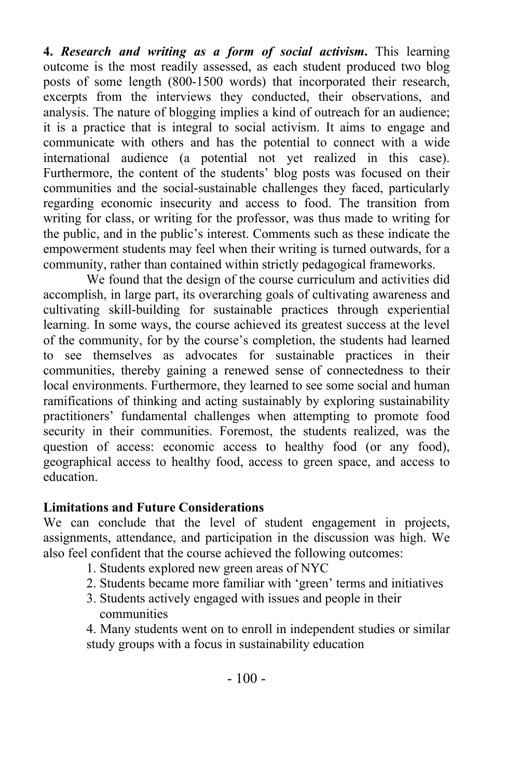**4.** *Research and writing as a form of social activism***.** This learning outcome is the most readily assessed, as each student produced two blog posts of some length (800-1500 words) that incorporated their research, excerpts from the interviews they conducted, their observations, and analysis. The nature of blogging implies a kind of outreach for an audience; it is a practice that is integral to social activism. It aims to engage and communicate with others and has the potential to connect with a wide international audience (a potential not yet realized in this case). Furthermore, the content of the students' blog posts was focused on their communities and the social-sustainable challenges they faced, particularly regarding economic insecurity and access to food. The transition from writing for class, or writing for the professor, was thus made to writing for the public, and in the public's interest. Comments such as these indicate the empowerment students may feel when their writing is turned outwards, for a community, rather than contained within strictly pedagogical frameworks.

We found that the design of the course curriculum and activities did accomplish, in large part, its overarching goals of cultivating awareness and cultivating skill-building for sustainable practices through experiential learning. In some ways, the course achieved its greatest success at the level of the community, for by the course's completion, the students had learned to see themselves as advocates for sustainable practices in their communities, thereby gaining a renewed sense of connectedness to their local environments. Furthermore, they learned to see some social and human ramifications of thinking and acting sustainably by exploring sustainability practitioners' fundamental challenges when attempting to promote food security in their communities. Foremost, the students realized, was the question of access: economic access to healthy food (or any food), geographical access to healthy food, access to green space, and access to education.

#### **Limitations and Future Considerations**

We can conclude that the level of student engagement in projects, assignments, attendance, and participation in the discussion was high. We also feel confident that the course achieved the following outcomes:

- 1. Students explored new green areas of NYC
- 2. Students became more familiar with 'green' terms and initiatives
- 3. Students actively engaged with issues and people in their communities

4. Many students went on to enroll in independent studies or similar study groups with a focus in sustainability education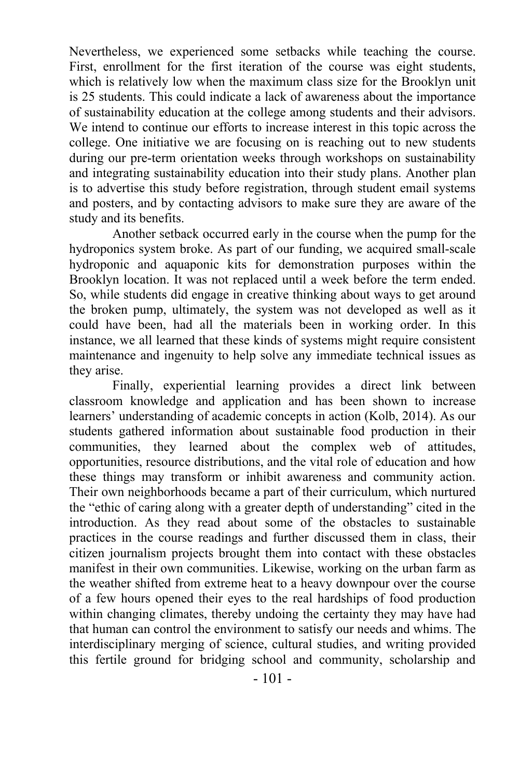Nevertheless, we experienced some setbacks while teaching the course. First, enrollment for the first iteration of the course was eight students, which is relatively low when the maximum class size for the Brooklyn unit is 25 students. This could indicate a lack of awareness about the importance of sustainability education at the college among students and their advisors. We intend to continue our efforts to increase interest in this topic across the college. One initiative we are focusing on is reaching out to new students during our pre-term orientation weeks through workshops on sustainability and integrating sustainability education into their study plans. Another plan is to advertise this study before registration, through student email systems and posters, and by contacting advisors to make sure they are aware of the study and its benefits.

Another setback occurred early in the course when the pump for the hydroponics system broke. As part of our funding, we acquired small-scale hydroponic and aquaponic kits for demonstration purposes within the Brooklyn location. It was not replaced until a week before the term ended. So, while students did engage in creative thinking about ways to get around the broken pump, ultimately, the system was not developed as well as it could have been, had all the materials been in working order. In this instance, we all learned that these kinds of systems might require consistent maintenance and ingenuity to help solve any immediate technical issues as they arise.

Finally, experiential learning provides a direct link between classroom knowledge and application and has been shown to increase learners' understanding of academic concepts in action (Kolb, 2014). As our students gathered information about sustainable food production in their communities, they learned about the complex web of attitudes, opportunities, resource distributions, and the vital role of education and how these things may transform or inhibit awareness and community action. Their own neighborhoods became a part of their curriculum, which nurtured the "ethic of caring along with a greater depth of understanding" cited in the introduction. As they read about some of the obstacles to sustainable practices in the course readings and further discussed them in class, their citizen journalism projects brought them into contact with these obstacles manifest in their own communities. Likewise, working on the urban farm as the weather shifted from extreme heat to a heavy downpour over the course of a few hours opened their eyes to the real hardships of food production within changing climates, thereby undoing the certainty they may have had that human can control the environment to satisfy our needs and whims. The interdisciplinary merging of science, cultural studies, and writing provided this fertile ground for bridging school and community, scholarship and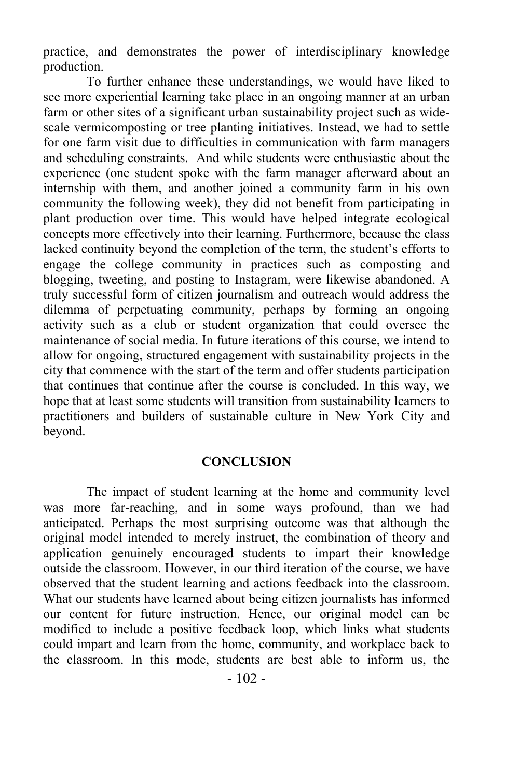practice, and demonstrates the power of interdisciplinary knowledge production.

 To further enhance these understandings, we would have liked to see more experiential learning take place in an ongoing manner at an urban farm or other sites of a significant urban sustainability project such as widescale vermicomposting or tree planting initiatives. Instead, we had to settle for one farm visit due to difficulties in communication with farm managers and scheduling constraints. And while students were enthusiastic about the experience (one student spoke with the farm manager afterward about an internship with them, and another joined a community farm in his own community the following week), they did not benefit from participating in plant production over time. This would have helped integrate ecological concepts more effectively into their learning. Furthermore, because the class lacked continuity beyond the completion of the term, the student's efforts to engage the college community in practices such as composting and blogging, tweeting, and posting to Instagram, were likewise abandoned. A truly successful form of citizen journalism and outreach would address the dilemma of perpetuating community, perhaps by forming an ongoing activity such as a club or student organization that could oversee the maintenance of social media. In future iterations of this course, we intend to allow for ongoing, structured engagement with sustainability projects in the city that commence with the start of the term and offer students participation that continues that continue after the course is concluded. In this way, we hope that at least some students will transition from sustainability learners to practitioners and builders of sustainable culture in New York City and beyond.

#### **CONCLUSION**

The impact of student learning at the home and community level was more far-reaching, and in some ways profound, than we had anticipated. Perhaps the most surprising outcome was that although the original model intended to merely instruct, the combination of theory and application genuinely encouraged students to impart their knowledge outside the classroom. However, in our third iteration of the course, we have observed that the student learning and actions feedback into the classroom. What our students have learned about being citizen journalists has informed our content for future instruction. Hence, our original model can be modified to include a positive feedback loop, which links what students could impart and learn from the home, community, and workplace back to the classroom. In this mode, students are best able to inform us, the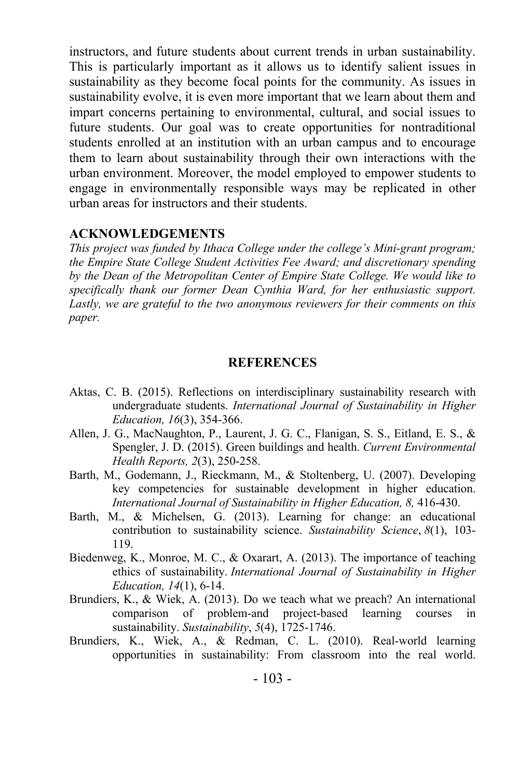instructors, and future students about current trends in urban sustainability. This is particularly important as it allows us to identify salient issues in sustainability as they become focal points for the community. As issues in sustainability evolve, it is even more important that we learn about them and impart concerns pertaining to environmental, cultural, and social issues to future students. Our goal was to create opportunities for nontraditional students enrolled at an institution with an urban campus and to encourage them to learn about sustainability through their own interactions with the urban environment. Moreover, the model employed to empower students to engage in environmentally responsible ways may be replicated in other urban areas for instructors and their students.

#### **ACKNOWLEDGEMENTS**

*This project was funded by Ithaca College under the college's Mini-grant program; the Empire State College Student Activities Fee Award; and discretionary spending by the Dean of the Metropolitan Center of Empire State College. We would like to specifically thank our former Dean Cynthia Ward, for her enthusiastic support. Lastly, we are grateful to the two anonymous reviewers for their comments on this paper.*

#### **REFERENCES**

- Aktas, C. B. (2015). Reflections on interdisciplinary sustainability research with undergraduate students. *International Journal of Sustainability in Higher Education, 16*(3), 354-366.
- Allen, J. G., MacNaughton, P., Laurent, J. G. C., Flanigan, S. S., Eitland, E. S., & Spengler, J. D. (2015). Green buildings and health. *Current Environmental Health Reports, 2*(3), 250-258.
- Barth, M., Godemann, J., Rieckmann, M., & Stoltenberg, U. (2007). Developing key competencies for sustainable development in higher education. *International Journal of Sustainability in Higher Education, 8,* 416-430.
- Barth, M., & Michelsen, G. (2013). Learning for change: an educational contribution to sustainability science. *Sustainability Science*, *8*(1), 103- 119.
- Biedenweg, K., Monroe, M. C., & Oxarart, A. (2013). The importance of teaching ethics of sustainability. *International Journal of Sustainability in Higher Education, 14*(1), 6-14.
- Brundiers, K., & Wiek, A. (2013). Do we teach what we preach? An international comparison of problem-and project-based learning courses in sustainability. *Sustainability*, *5*(4), 1725-1746.
- Brundiers, K., Wiek, A., & Redman, C. L. (2010). Real-world learning opportunities in sustainability: From classroom into the real world.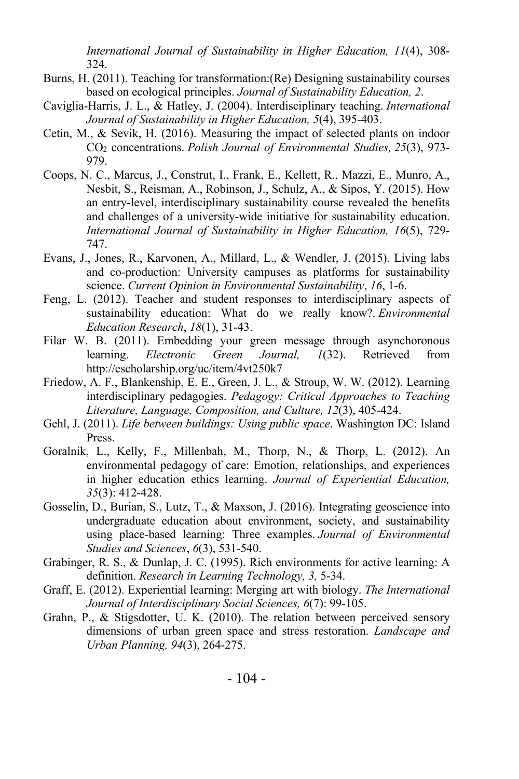*International Journal of Sustainability in Higher Education, 11*(4), 308- 324.

- Burns, H. (2011). Teaching for transformation:(Re) Designing sustainability courses based on ecological principles. *Journal of Sustainability Education, 2*.
- Caviglia-Harris, J. L., & Hatley, J. (2004). Interdisciplinary teaching. *International Journal of Sustainability in Higher Education, 5*(4), 395-403.
- Cetin, M., & Sevik, H. (2016). Measuring the impact of selected plants on indoor CO2 concentrations. *Polish Journal of Environmental Studies, 25*(3), 973- 979.
- Coops, N. C., Marcus, J., Construt, I., Frank, E., Kellett, R., Mazzi, E., Munro, A., Nesbit, S., Reisman, A., Robinson, J., Schulz, A., & Sipos, Y. (2015). How an entry-level, interdisciplinary sustainability course revealed the benefits and challenges of a university-wide initiative for sustainability education. *International Journal of Sustainability in Higher Education, 16*(5), 729- 747.
- Evans, J., Jones, R., Karvonen, A., Millard, L., & Wendler, J. (2015). Living labs and co-production: University campuses as platforms for sustainability science. *Current Opinion in Environmental Sustainability*, *16*, 1-6.
- Feng, L. (2012). Teacher and student responses to interdisciplinary aspects of sustainability education: What do we really know?. *Environmental Education Research*, *18*(1), 31-43.
- Filar W. B. (2011). Embedding your green message through asynchoronous learning. *Electronic Green Journal, 1*(32). Retrieved from http://escholarship.org/uc/item/4vt250k7
- Friedow, A. F., Blankenship, E. E., Green, J. L., & Stroup, W. W. (2012). Learning interdisciplinary pedagogies. *Pedagogy: Critical Approaches to Teaching Literature, Language, Composition, and Culture, 12*(3), 405-424.
- Gehl, J. (2011). *Life between buildings: Using public space*. Washington DC: Island Press.
- Goralnik, L., Kelly, F., Millenbah, M., Thorp, N., & Thorp, L. (2012). An environmental pedagogy of care: Emotion, relationships, and experiences in higher education ethics learning. *Journal of Experiential Education, 35*(3): 412-428.
- Gosselin, D., Burian, S., Lutz, T., & Maxson, J. (2016). Integrating geoscience into undergraduate education about environment, society, and sustainability using place-based learning: Three examples. *Journal of Environmental Studies and Sciences*, *6*(3), 531-540.
- Grabinger, R. S., & Dunlap, J. C. (1995). Rich environments for active learning: A definition. *Research in Learning Technology, 3,* 5-34.
- Graff, E. (2012). Experiential learning: Merging art with biology. *The International Journal of Interdisciplinary Social Sciences, 6*(7): 99-105.
- Grahn, P., & Stigsdotter, U. K. (2010). The relation between perceived sensory dimensions of urban green space and stress restoration. *Landscape and Urban Planning, 94*(3), 264-275.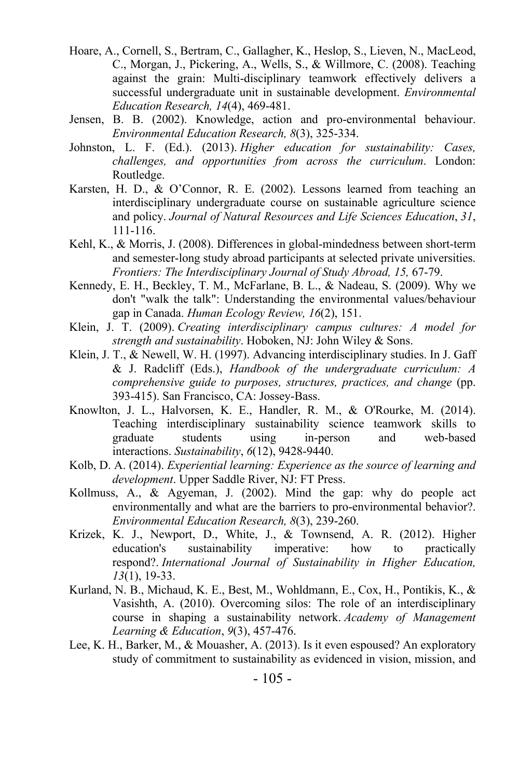- Hoare, A., Cornell, S., Bertram, C., Gallagher, K., Heslop, S., Lieven, N., MacLeod, C., Morgan, J., Pickering, A., Wells, S., & Willmore, C. (2008). Teaching against the grain: Multi-disciplinary teamwork effectively delivers a successful undergraduate unit in sustainable development. *Environmental Education Research, 14*(4), 469-481.
- Jensen, B. B. (2002). Knowledge, action and pro-environmental behaviour. *Environmental Education Research, 8*(3), 325-334.
- Johnston, L. F. (Ed.). (2013). *Higher education for sustainability: Cases, challenges, and opportunities from across the curriculum*. London: Routledge.
- Karsten, H. D., & O'Connor, R. E. (2002). Lessons learned from teaching an interdisciplinary undergraduate course on sustainable agriculture science and policy. *Journal of Natural Resources and Life Sciences Education*, *31*, 111-116.
- Kehl, K., & Morris, J. (2008). Differences in global-mindedness between short-term and semester-long study abroad participants at selected private universities. *Frontiers: The Interdisciplinary Journal of Study Abroad, 15,* 67-79.
- Kennedy, E. H., Beckley, T. M., McFarlane, B. L., & Nadeau, S. (2009). Why we don't "walk the talk": Understanding the environmental values/behaviour gap in Canada. *Human Ecology Review, 16*(2), 151.
- Klein, J. T. (2009). *Creating interdisciplinary campus cultures: A model for strength and sustainability*. Hoboken, NJ: John Wiley & Sons.
- Klein, J. T., & Newell, W. H. (1997). Advancing interdisciplinary studies. In J. Gaff & J. Radcliff (Eds.), *Handbook of the undergraduate curriculum: A comprehensive guide to purposes, structures, practices, and change* (pp. 393-415). San Francisco, CA: Jossey-Bass.
- Knowlton, J. L., Halvorsen, K. E., Handler, R. M., & O'Rourke, M. (2014). Teaching interdisciplinary sustainability science teamwork skills to graduate students using in-person and web-based interactions. *Sustainability*, *6*(12), 9428-9440.
- Kolb, D. A. (2014). *Experiential learning: Experience as the source of learning and development*. Upper Saddle River, NJ: FT Press.
- Kollmuss, A., & Agyeman, J. (2002). Mind the gap: why do people act environmentally and what are the barriers to pro-environmental behavior?. *Environmental Education Research, 8*(3), 239-260.
- Krizek, K. J., Newport, D., White, J., & Townsend, A. R. (2012). Higher education's sustainability imperative: how to practically respond?. *International Journal of Sustainability in Higher Education, 13*(1), 19-33.
- Kurland, N. B., Michaud, K. E., Best, M., Wohldmann, E., Cox, H., Pontikis, K., & Vasishth, A. (2010). Overcoming silos: The role of an interdisciplinary course in shaping a sustainability network. *Academy of Management Learning & Education*, *9*(3), 457-476.
- Lee, K. H., Barker, M., & Mouasher, A. (2013). Is it even espoused? An exploratory study of commitment to sustainability as evidenced in vision, mission, and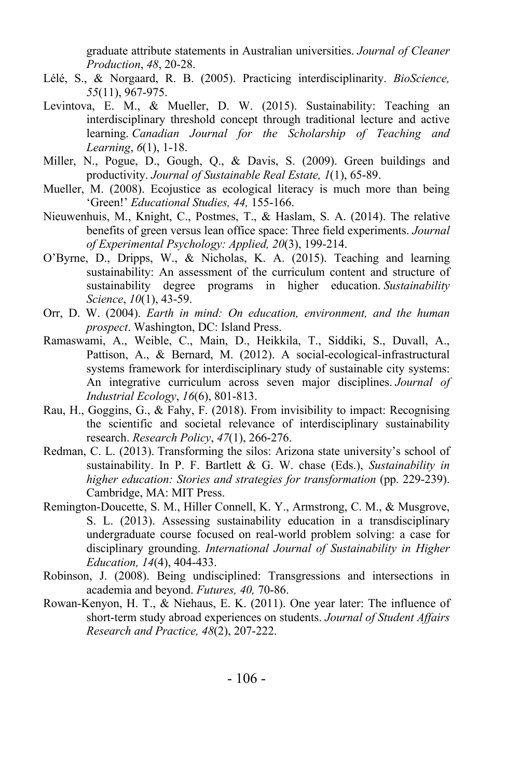graduate attribute statements in Australian universities. *Journal of Cleaner Production*, *48*, 20-28.

- Lélé, S., & Norgaard, R. B. (2005). Practicing interdisciplinarity. *BioScience, 55*(11), 967-975.
- Levintova, E. M., & Mueller, D. W. (2015). Sustainability: Teaching an interdisciplinary threshold concept through traditional lecture and active learning. *Canadian Journal for the Scholarship of Teaching and Learning*, *6*(1), 1-18.
- Miller, N., Pogue, D., Gough, Q., & Davis, S. (2009). Green buildings and productivity. *Journal of Sustainable Real Estate, 1*(1), 65-89.
- Mueller, M. (2008). Ecojustice as ecological literacy is much more than being 'Green!' *Educational Studies, 44,* 155-166.
- Nieuwenhuis, M., Knight, C., Postmes, T., & Haslam, S. A. (2014). The relative benefits of green versus lean office space: Three field experiments. *Journal of Experimental Psychology: Applied, 20*(3), 199-214.
- O'Byrne, D., Dripps, W., & Nicholas, K. A. (2015). Teaching and learning sustainability: An assessment of the curriculum content and structure of sustainability degree programs in higher education. *Sustainability Science*, *10*(1), 43-59.
- Orr, D. W. (2004). *Earth in mind: On education, environment, and the human prospect*. Washington, DC: Island Press.
- Ramaswami, A., Weible, C., Main, D., Heikkila, T., Siddiki, S., Duvall, A., Pattison, A., & Bernard, M. (2012). A social-ecological-infrastructural systems framework for interdisciplinary study of sustainable city systems: An integrative curriculum across seven major disciplines. *Journal of Industrial Ecology*, *16*(6), 801-813.
- Rau, H., Goggins, G., & Fahy, F. (2018). From invisibility to impact: Recognising the scientific and societal relevance of interdisciplinary sustainability research. *Research Policy*, *47*(1), 266-276.
- Redman, C. L. (2013). Transforming the silos: Arizona state university's school of sustainability. In P. F. Bartlett & G. W. chase (Eds.), *Sustainability in higher education: Stories and strategies for transformation* (pp. 229-239). Cambridge, MA: MIT Press.
- Remington-Doucette, S. M., Hiller Connell, K. Y., Armstrong, C. M., & Musgrove, S. L. (2013). Assessing sustainability education in a transdisciplinary undergraduate course focused on real-world problem solving: a case for disciplinary grounding. *International Journal of Sustainability in Higher Education, 14*(4), 404-433.
- Robinson, J. (2008). Being undisciplined: Transgressions and intersections in academia and beyond. *Futures, 40,* 70-86.
- Rowan-Kenyon, H. T., & Niehaus, E. K. (2011). One year later: The influence of short-term study abroad experiences on students. *Journal of Student Affairs Research and Practice, 48*(2), 207-222.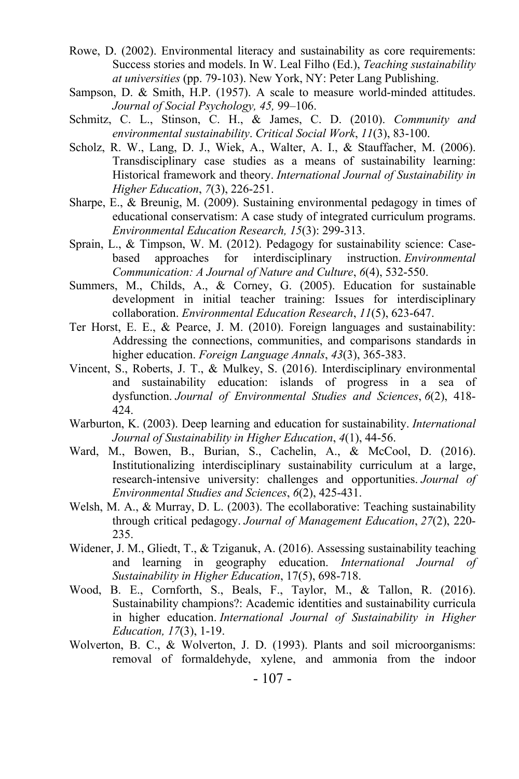- Rowe, D. (2002). Environmental literacy and sustainability as core requirements: Success stories and models. In W. Leal Filho (Ed.), *Teaching sustainability at universities* (pp. 79-103). New York, NY: Peter Lang Publishing.
- Sampson, D. & Smith, H.P. (1957). A scale to measure world-minded attitudes. *Journal of Social Psychology, 45,* 99–106.
- Schmitz, C. L., Stinson, C. H., & James, C. D. (2010). *Community and environmental sustainability*. *Critical Social Work*, *11*(3), 83-100.
- Scholz, R. W., Lang, D. J., Wiek, A., Walter, A. I., & Stauffacher, M. (2006). Transdisciplinary case studies as a means of sustainability learning: Historical framework and theory. *International Journal of Sustainability in Higher Education*, *7*(3), 226-251.
- Sharpe, E., & Breunig, M. (2009). Sustaining environmental pedagogy in times of educational conservatism: A case study of integrated curriculum programs. *Environmental Education Research, 15*(3): 299-313.
- Sprain, L., & Timpson, W. M. (2012). Pedagogy for sustainability science: Casebased approaches for interdisciplinary instruction. *Environmental Communication: A Journal of Nature and Culture*, *6*(4), 532-550.
- Summers, M., Childs, A., & Corney, G. (2005). Education for sustainable development in initial teacher training: Issues for interdisciplinary collaboration. *Environmental Education Research*, *11*(5), 623-647.
- Ter Horst, E. E., & Pearce, J. M. (2010). Foreign languages and sustainability: Addressing the connections, communities, and comparisons standards in higher education. *Foreign Language Annals*, *43*(3), 365-383.
- Vincent, S., Roberts, J. T., & Mulkey, S. (2016). Interdisciplinary environmental and sustainability education: islands of progress in a sea of dysfunction. *Journal of Environmental Studies and Sciences*, *6*(2), 418- 424.
- Warburton, K. (2003). Deep learning and education for sustainability. *International Journal of Sustainability in Higher Education*, *4*(1), 44-56.
- Ward, M., Bowen, B., Burian, S., Cachelin, A., & McCool, D. (2016). Institutionalizing interdisciplinary sustainability curriculum at a large, research-intensive university: challenges and opportunities. *Journal of Environmental Studies and Sciences*, *6*(2), 425-431.
- Welsh, M. A., & Murray, D. L. (2003). The ecollaborative: Teaching sustainability through critical pedagogy. *Journal of Management Education*, *27*(2), 220- 235.
- Widener, J. M., Gliedt, T., & Tziganuk, A. (2016). Assessing sustainability teaching and learning in geography education. *International Journal of Sustainability in Higher Education*, 17(5), 698-718.
- Wood, B. E., Cornforth, S., Beals, F., Taylor, M., & Tallon, R. (2016). Sustainability champions?: Academic identities and sustainability curricula in higher education. *International Journal of Sustainability in Higher Education, 17*(3), 1-19.
- Wolverton, B. C., & Wolverton, J. D. (1993). Plants and soil microorganisms: removal of formaldehyde, xylene, and ammonia from the indoor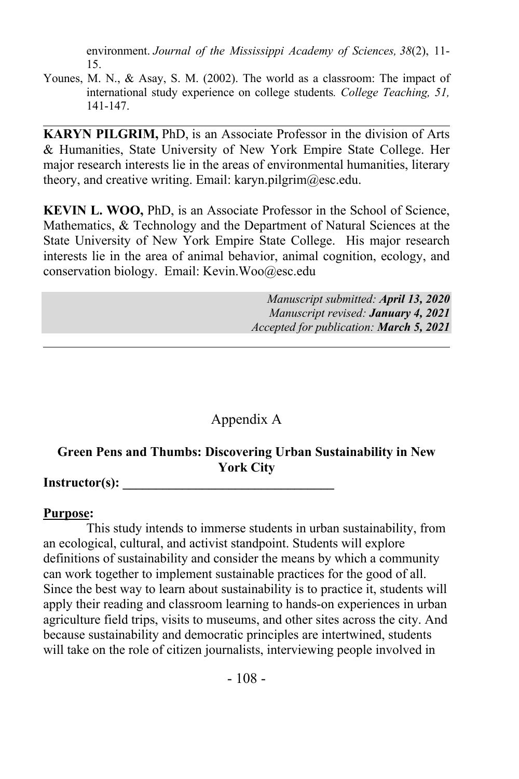environment. *Journal of the Mississippi Academy of Sciences, 38*(2), 11- 15.

Younes, M. N., & Asay, S. M. (2002). The world as a classroom: The impact of international study experience on college students*. College Teaching, 51,* 141-147.

**KARYN PILGRIM,** PhD, is an Associate Professor in the division of Arts & Humanities, State University of New York Empire State College. Her major research interests lie in the areas of environmental humanities, literary theory, and creative writing. Email: karyn.pilgrim@esc.edu.

**KEVIN L. WOO,** PhD, is an Associate Professor in the School of Science, Mathematics, & Technology and the Department of Natural Sciences at the State University of New York Empire State College. His major research interests lie in the area of animal behavior, animal cognition, ecology, and conservation biology. Email: Kevin.Woo@esc.edu

> *Manuscript submitted: April 13, 2020 Manuscript revised: January 4, 2021 Accepted for publication: March 5, 2021*

# Appendix A

# **Green Pens and Thumbs: Discovering Urban Sustainability in New York City**

Instructor(s):

#### **Purpose:**

This study intends to immerse students in urban sustainability, from an ecological, cultural, and activist standpoint. Students will explore definitions of sustainability and consider the means by which a community can work together to implement sustainable practices for the good of all. Since the best way to learn about sustainability is to practice it, students will apply their reading and classroom learning to hands-on experiences in urban agriculture field trips, visits to museums, and other sites across the city. And because sustainability and democratic principles are intertwined, students will take on the role of citizen journalists, interviewing people involved in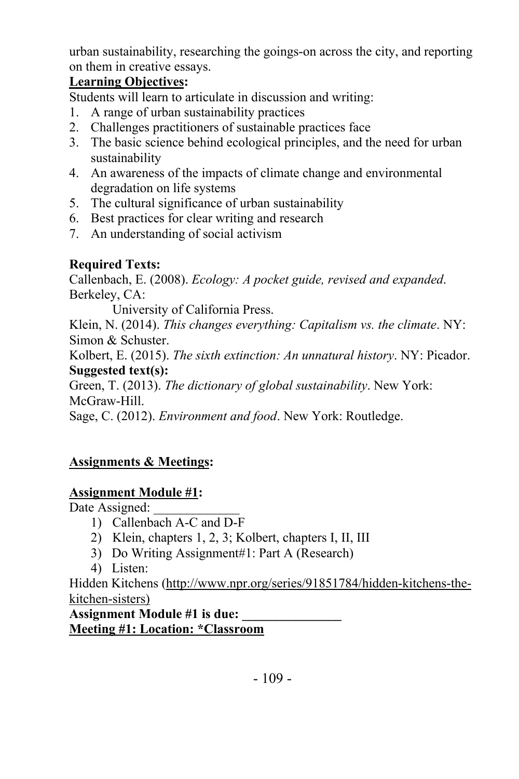urban sustainability, researching the goings-on across the city, and reporting on them in creative essays.

# **Learning Objectives:**

Students will learn to articulate in discussion and writing:

- 1. A range of urban sustainability practices
- 2. Challenges practitioners of sustainable practices face
- 3. The basic science behind ecological principles, and the need for urban sustainability
- 4. An awareness of the impacts of climate change and environmental degradation on life systems
- 5. The cultural significance of urban sustainability
- 6. Best practices for clear writing and research
- 7. An understanding of social activism

# **Required Texts:**

Callenbach, E. (2008). *Ecology: A pocket guide, revised and expanded*. Berkeley, CA:

University of California Press.

Klein, N. (2014). *This changes everything: Capitalism vs. the climate*. NY: Simon & Schuster.

Kolbert, E. (2015). *The sixth extinction: An unnatural history*. NY: Picador. **Suggested text(s):**

Green, T. (2013). *The dictionary of global sustainability*. New York: McGraw-Hill.

Sage, C. (2012). *Environment and food*. New York: Routledge.

# **Assignments & Meetings:**

# **Assignment Module #1:**

Date Assigned:

- 1) Callenbach A-C and D-F
- 2) Klein, chapters 1, 2, 3; Kolbert, chapters I, II, III
- 3) Do Writing Assignment#1: Part A (Research)
- 4) Listen:

Hidden Kitchens (http://www.npr.org/series/91851784/hidden-kitchens-thekitchen-sisters)

**Assignment Module #1 is due: \_\_\_\_\_\_\_\_\_\_\_\_\_\_\_ Meeting #1: Location: \*Classroom**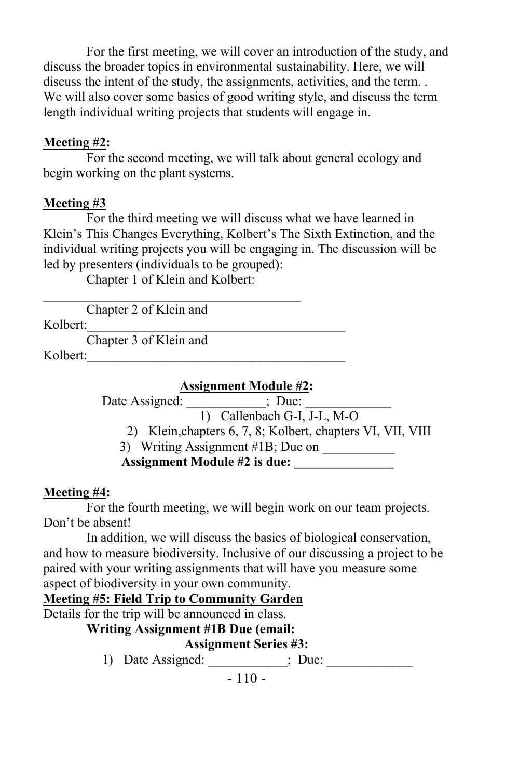For the first meeting, we will cover an introduction of the study, and discuss the broader topics in environmental sustainability. Here, we will discuss the intent of the study, the assignments, activities, and the term. . We will also cover some basics of good writing style, and discuss the term length individual writing projects that students will engage in.

#### **Meeting #2:**

For the second meeting, we will talk about general ecology and begin working on the plant systems.

# **Meeting #3**

For the third meeting we will discuss what we have learned in Klein's This Changes Everything, Kolbert's The Sixth Extinction, and the individual writing projects you will be engaging in. The discussion will be led by presenters (individuals to be grouped):

Chapter 1 of Klein and Kolbert:

Chapter 2 of Klein and Kolbert:

Chapter 3 of Klein and

Kolbert:

#### **Assignment Module #2:**

Date Assigned: \_\_\_\_\_\_\_\_\_\_\_\_; Due: \_\_\_\_\_\_\_\_\_\_\_\_\_ 1) Callenbach G-I, J-L, M-O 2) Klein,chapters 6, 7, 8; Kolbert, chapters VI, VII, VIII 3) Writing Assignment #1B; Due on **Assignment Module #2 is due: \_\_\_\_\_\_\_\_\_\_\_\_\_\_\_**

# **Meeting #4:**

For the fourth meeting, we will begin work on our team projects. Don't be absent!

In addition, we will discuss the basics of biological conservation, and how to measure biodiversity. Inclusive of our discussing a project to be paired with your writing assignments that will have you measure some aspect of biodiversity in your own community.

# **Meeting #5: Field Trip to Community Garden**

Details for the trip will be announced in class.

**Writing Assignment #1B Due (email:** 

#### **Assignment Series #3:**

1) Date Assigned: \_\_\_\_\_\_\_\_\_\_\_\_; Due: \_\_\_\_\_\_\_\_\_\_\_\_\_

 $-110-$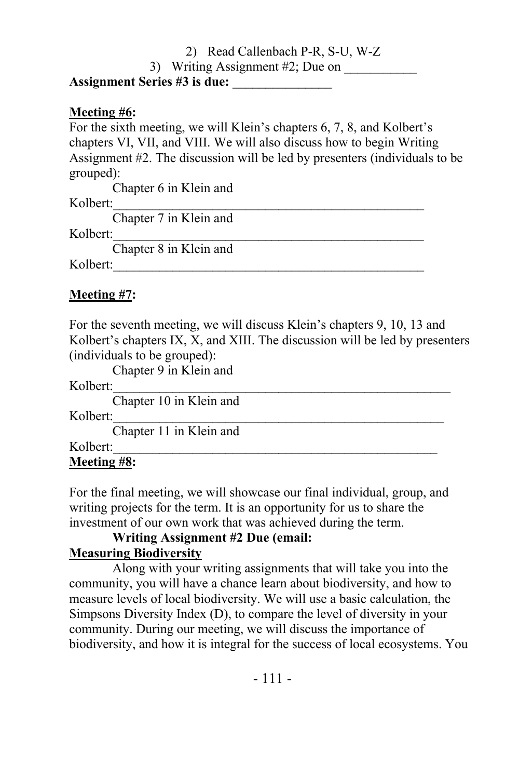2) Read Callenbach P-R, S-U, W-Z 3) Writing Assignment  $#2$ ; Due on **Assignment Series #3 is due: \_\_\_\_\_\_\_\_\_\_\_\_\_\_\_**

#### **Meeting #6:**

For the sixth meeting, we will Klein's chapters 6, 7, 8, and Kolbert's chapters VI, VII, and VIII. We will also discuss how to begin Writing Assignment #2. The discussion will be led by presenters (individuals to be grouped):

Chapter 6 in Klein and Kolbert: Chapter 7 in Klein and

#### Kolbert:

Chapter 8 in Klein and

Kolbert:

# **Meeting #7:**

For the seventh meeting, we will discuss Klein's chapters 9, 10, 13 and Kolbert's chapters IX, X, and XIII. The discussion will be led by presenters (individuals to be grouped):

Chapter 9 in Klein and

Kolbert:

Chapter 10 in Klein and

Kolbert:

Chapter 11 in Klein and

Kolbert:

# **Meeting #8:**

For the final meeting, we will showcase our final individual, group, and writing projects for the term. It is an opportunity for us to share the investment of our own work that was achieved during the term.

# **Writing Assignment #2 Due (email:**

# **Measuring Biodiversity**

Along with your writing assignments that will take you into the community, you will have a chance learn about biodiversity, and how to measure levels of local biodiversity. We will use a basic calculation, the Simpsons Diversity Index (D), to compare the level of diversity in your community. During our meeting, we will discuss the importance of biodiversity, and how it is integral for the success of local ecosystems. You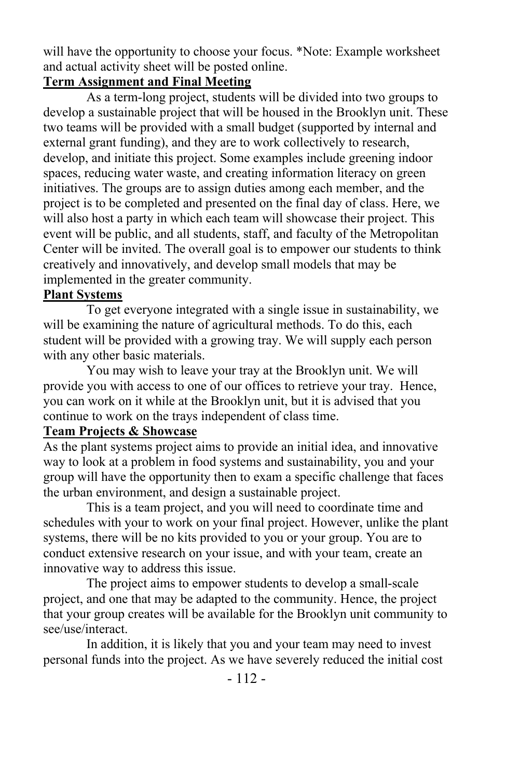will have the opportunity to choose your focus. \*Note: Example worksheet and actual activity sheet will be posted online.

#### **Term Assignment and Final Meeting**

As a term-long project, students will be divided into two groups to develop a sustainable project that will be housed in the Brooklyn unit. These two teams will be provided with a small budget (supported by internal and external grant funding), and they are to work collectively to research, develop, and initiate this project. Some examples include greening indoor spaces, reducing water waste, and creating information literacy on green initiatives. The groups are to assign duties among each member, and the project is to be completed and presented on the final day of class. Here, we will also host a party in which each team will showcase their project. This event will be public, and all students, staff, and faculty of the Metropolitan Center will be invited. The overall goal is to empower our students to think creatively and innovatively, and develop small models that may be implemented in the greater community.

#### **Plant Systems**

To get everyone integrated with a single issue in sustainability, we will be examining the nature of agricultural methods. To do this, each student will be provided with a growing tray. We will supply each person with any other basic materials.

You may wish to leave your tray at the Brooklyn unit. We will provide you with access to one of our offices to retrieve your tray. Hence, you can work on it while at the Brooklyn unit, but it is advised that you continue to work on the trays independent of class time.

#### **Team Projects & Showcase**

As the plant systems project aims to provide an initial idea, and innovative way to look at a problem in food systems and sustainability, you and your group will have the opportunity then to exam a specific challenge that faces the urban environment, and design a sustainable project.

This is a team project, and you will need to coordinate time and schedules with your to work on your final project. However, unlike the plant systems, there will be no kits provided to you or your group. You are to conduct extensive research on your issue, and with your team, create an innovative way to address this issue.

The project aims to empower students to develop a small-scale project, and one that may be adapted to the community. Hence, the project that your group creates will be available for the Brooklyn unit community to see/use/interact.

In addition, it is likely that you and your team may need to invest personal funds into the project. As we have severely reduced the initial cost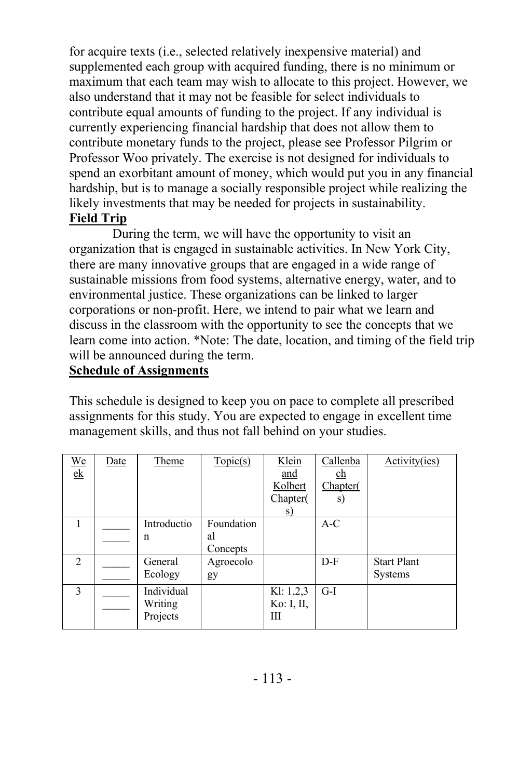for acquire texts (i.e., selected relatively inexpensive material) and supplemented each group with acquired funding, there is no minimum or maximum that each team may wish to allocate to this project. However, we also understand that it may not be feasible for select individuals to contribute equal amounts of funding to the project. If any individual is currently experiencing financial hardship that does not allow them to contribute monetary funds to the project, please see Professor Pilgrim or Professor Woo privately. The exercise is not designed for individuals to spend an exorbitant amount of money, which would put you in any financial hardship, but is to manage a socially responsible project while realizing the likely investments that may be needed for projects in sustainability. **Field Trip**

During the term, we will have the opportunity to visit an organization that is engaged in sustainable activities. In New York City, there are many innovative groups that are engaged in a wide range of sustainable missions from food systems, alternative energy, water, and to environmental justice. These organizations can be linked to larger corporations or non-profit. Here, we intend to pair what we learn and discuss in the classroom with the opportunity to see the concepts that we learn come into action. \*Note: The date, location, and timing of the field trip will be announced during the term.

# **Schedule of Assignments**

This schedule is designed to keep you on pace to complete all prescribed assignments for this study. You are expected to engage in excellent time management skills, and thus not fall behind on your studies.

| $We$<br>$\ensuremath{\text{e}}\xspace\ensuremath{\text{k}}\xspace$ | Date | Theme                             | Topic(s)                     | Klein<br>and<br>Kolbert<br>Chapter(<br><u>s</u> | Callenba<br>$\underline{\text{ch}}$<br>Chapter(<br><u>s)</u> | Activity(ies)                        |
|--------------------------------------------------------------------|------|-----------------------------------|------------------------------|-------------------------------------------------|--------------------------------------------------------------|--------------------------------------|
|                                                                    |      | Introductio<br>n                  | Foundation<br>al<br>Concepts |                                                 | $A-C$                                                        |                                      |
| $\mathcal{D}$                                                      |      | General<br>Ecology                | Agroecolo<br>gy              |                                                 | $D-F$                                                        | <b>Start Plant</b><br><b>Systems</b> |
| $\mathbf{3}$                                                       |      | Individual<br>Writing<br>Projects |                              | K1: 1,2,3<br>Ko: I, II,<br>Ш                    | $G-I$                                                        |                                      |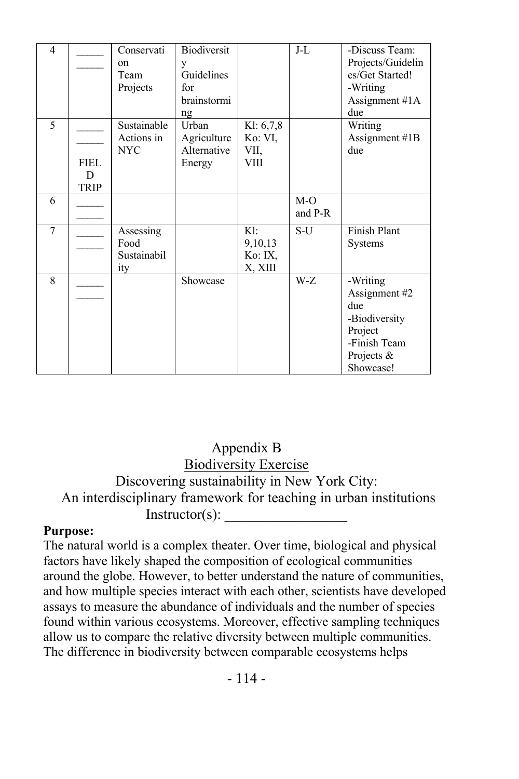| $\overline{4}$ |                                 | Conservati<br><sub>on</sub><br>Team<br>Projects | Biodiversit<br>y<br>Guidelines<br>for<br>brainstormi<br>ng |                                             | J-L              | -Discuss Team:<br>Projects/Guidelin<br>es/Get Started!<br>-Writing<br>Assignment #1A<br>due             |
|----------------|---------------------------------|-------------------------------------------------|------------------------------------------------------------|---------------------------------------------|------------------|---------------------------------------------------------------------------------------------------------|
| $\overline{5}$ | <b>FIEL</b><br>D<br><b>TRIP</b> | Sustainable<br>Actions in<br><b>NYC</b>         | <b>Urhan</b><br>Agriculture<br>Alternative<br>Energy       | Kl: 6,7,8<br>Ko: VI,<br>VII,<br><b>VIII</b> |                  | Writing<br>Assignment #1B<br>due                                                                        |
| 6              |                                 |                                                 |                                                            |                                             | $M-O$<br>and P-R |                                                                                                         |
| $\overline{7}$ |                                 | Assessing<br>Food<br>Sustainabil<br>ity         |                                                            | $K!$ :<br>9,10,13<br>Ko: IX,<br>X, XIII     | $S-U$            | Finish Plant<br>Systems                                                                                 |
| 8              |                                 |                                                 | Showcase                                                   |                                             | W-Z              | -Writing<br>Assignment #2<br>due<br>-Biodiversity<br>Project<br>-Finish Team<br>Projects &<br>Showcase! |

# Appendix B Biodiversity Exercise Discovering sustainability in New York City: An interdisciplinary framework for teaching in urban institutions  $Instructor(s)$ :

#### **Purpose:**

The natural world is a complex theater. Over time, biological and physical factors have likely shaped the composition of ecological communities around the globe. However, to better understand the nature of communities, and how multiple species interact with each other, scientists have developed assays to measure the abundance of individuals and the number of species found within various ecosystems. Moreover, effective sampling techniques allow us to compare the relative diversity between multiple communities. The difference in biodiversity between comparable ecosystems helps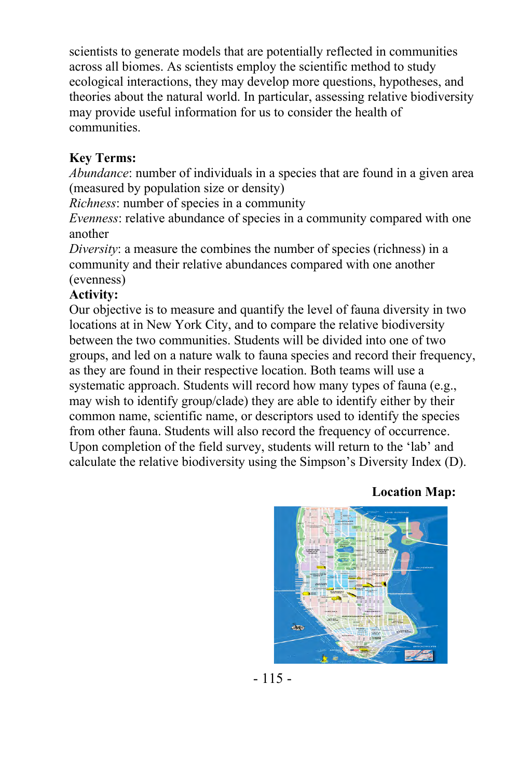scientists to generate models that are potentially reflected in communities across all biomes. As scientists employ the scientific method to study ecological interactions, they may develop more questions, hypotheses, and theories about the natural world. In particular, assessing relative biodiversity may provide useful information for us to consider the health of communities.

#### **Key Terms:**

*Abundance*: number of individuals in a species that are found in a given area (measured by population size or density)

*Richness*: number of species in a community

*Evenness*: relative abundance of species in a community compared with one another

*Diversity*: a measure the combines the number of species (richness) in a community and their relative abundances compared with one another (evenness)

#### **Activity:**

Our objective is to measure and quantify the level of fauna diversity in two locations at in New York City, and to compare the relative biodiversity between the two communities. Students will be divided into one of two groups, and led on a nature walk to fauna species and record their frequency, as they are found in their respective location. Both teams will use a systematic approach. Students will record how many types of fauna (e.g., may wish to identify group/clade) they are able to identify either by their common name, scientific name, or descriptors used to identify the species from other fauna. Students will also record the frequency of occurrence. Upon completion of the field survey, students will return to the 'lab' and calculate the relative biodiversity using the Simpson's Diversity Index (D).

#### **Location Map:**



 $-115-$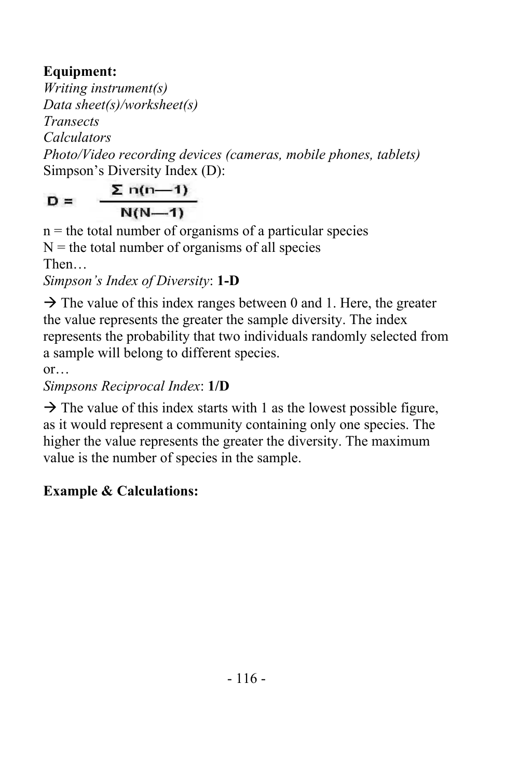# **Equipment:**

*Writing instrument(s) Data sheet(s)/worksheet(s) Transects Calculators Photo/Video recording devices (cameras, mobile phones, tablets)* Simpson's Diversity Index (D):

 $\Sigma$  n(n-1)  $D =$  $N(N-1)$ 

 $n =$  the total number of organisms of a particular species  $N =$  the total number of organisms of all species Then… *Simpson's Index of Diversity*: **1-D**

 $\rightarrow$  The value of this index ranges between 0 and 1. Here, the greater the value represents the greater the sample diversity. The index represents the probability that two individuals randomly selected from a sample will belong to different species.

or… *Simpsons Reciprocal Index*: **1/D**

 $\rightarrow$  The value of this index starts with 1 as the lowest possible figure, as it would represent a community containing only one species. The higher the value represents the greater the diversity. The maximum value is the number of species in the sample.

# **Example & Calculations:**